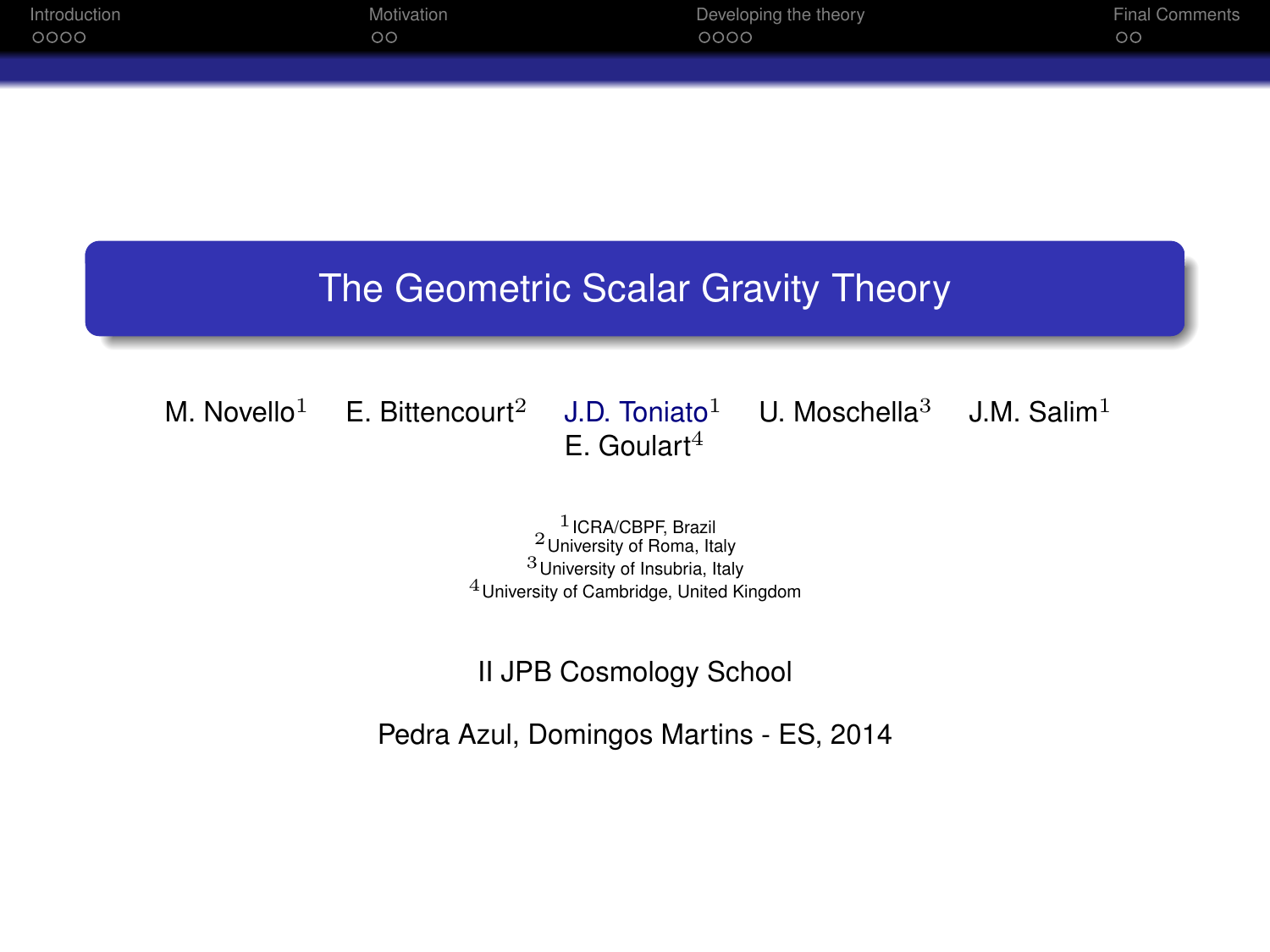| Introduction | Motivation | Developing the theory | <b>Final Comments</b> |
|--------------|------------|-----------------------|-----------------------|
| 0000         | $\circ$ c  | 0000                  | <b>OO</b>             |
|              |            |                       |                       |

# The Geometric Scalar Gravity Theory

M. Novello<sup>1</sup> E. Bittencourt<sup>2</sup> J.D. Toniato<sup>1</sup> U. Moschella<sup>3</sup> J.M. Salim<sup>1</sup>  $E.$  Goulart<sup>4</sup>

> $1$  ICRA/CBPF, Brazil  $2$  University of Roma, Italy 3University of Insubria, Italy 4University of Cambridge, United Kingdom

II JPB Cosmology School

Pedra Azul, Domingos Martins - ES, 2014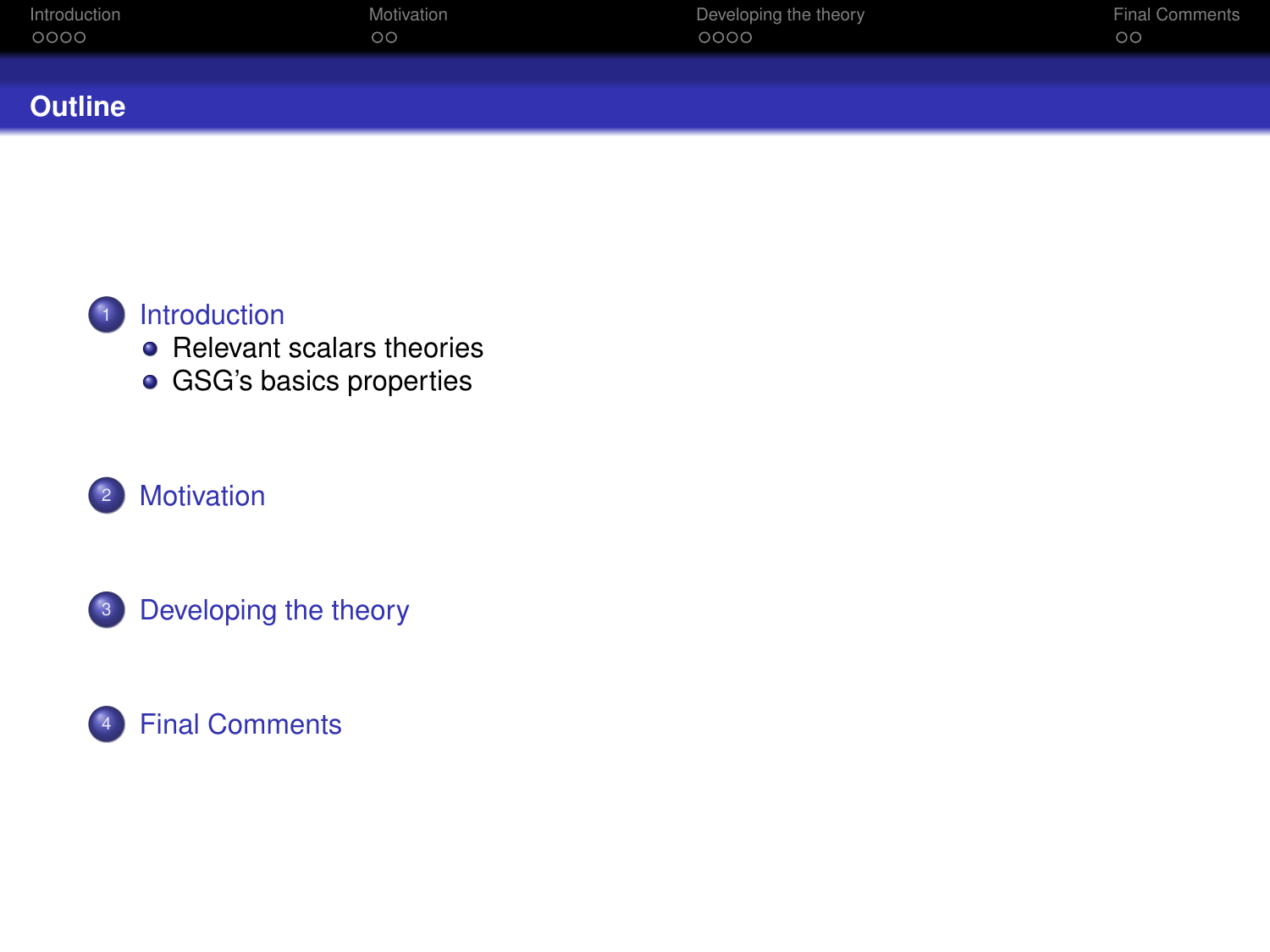| Introduction | Motivation | Developing the theory | <b>Final Comments</b> |
|--------------|------------|-----------------------|-----------------------|
| 0000         | οo         | 0000                  | $\circ$               |
| ____         |            |                       |                       |

#### **Outline**



## **1** [Introduction](#page-2-0)

- [Relevant scalars theories](#page-2-0)
- **[GSG's basics properties](#page-15-0)**

# <sup>2</sup> [Motivation](#page-20-0)



# <sup>4</sup> [Final Comments](#page-46-0)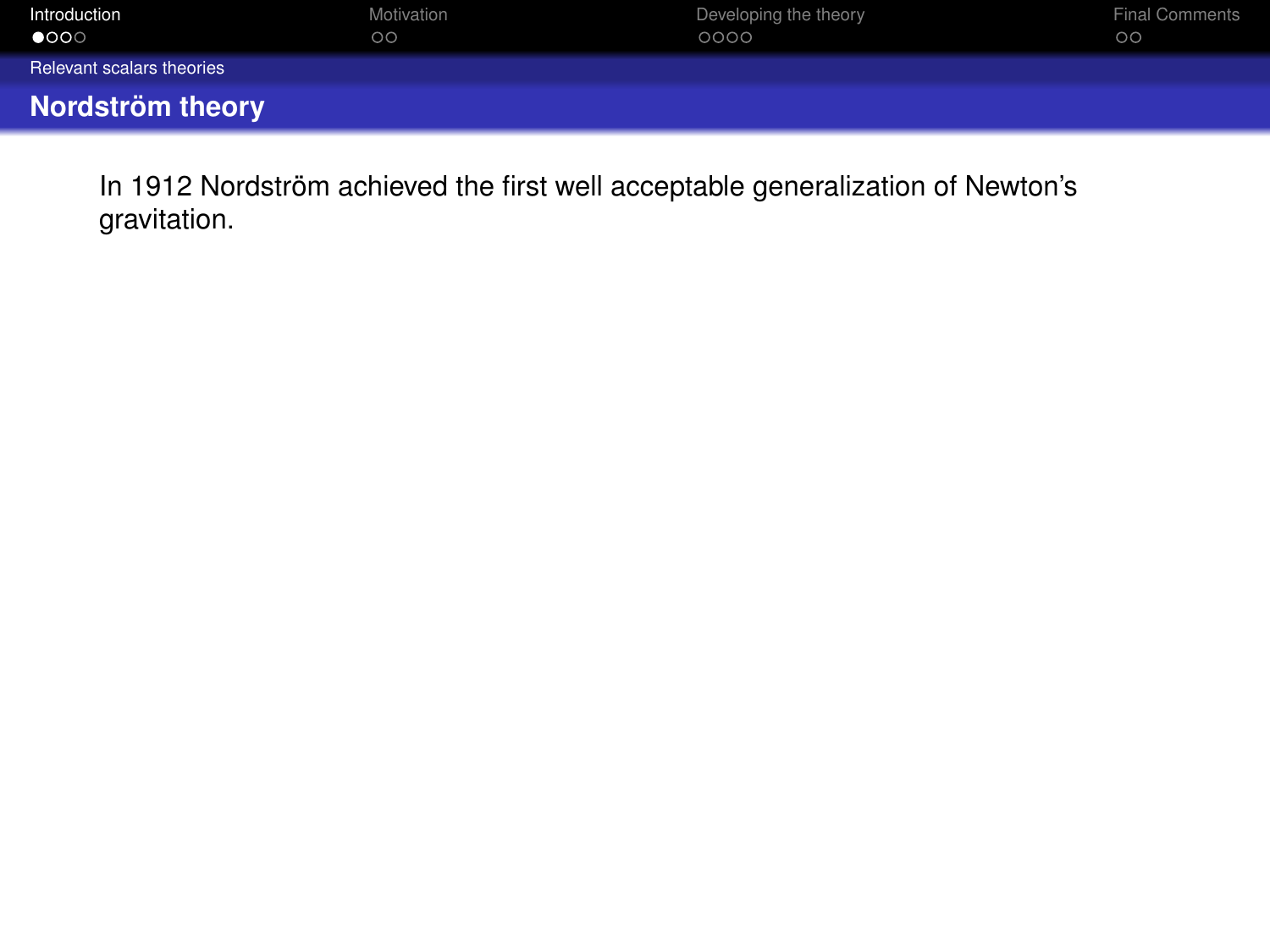<span id="page-2-0"></span>

| Introduction              | Motivation | Developing the theory | <b>Final Comments</b> |
|---------------------------|------------|-----------------------|-----------------------|
| $\bullet$ 000             | $\circ$    | 0000                  | $\circ$               |
| Relevant scalars theories |            |                       |                       |
| Nordström theory          |            |                       |                       |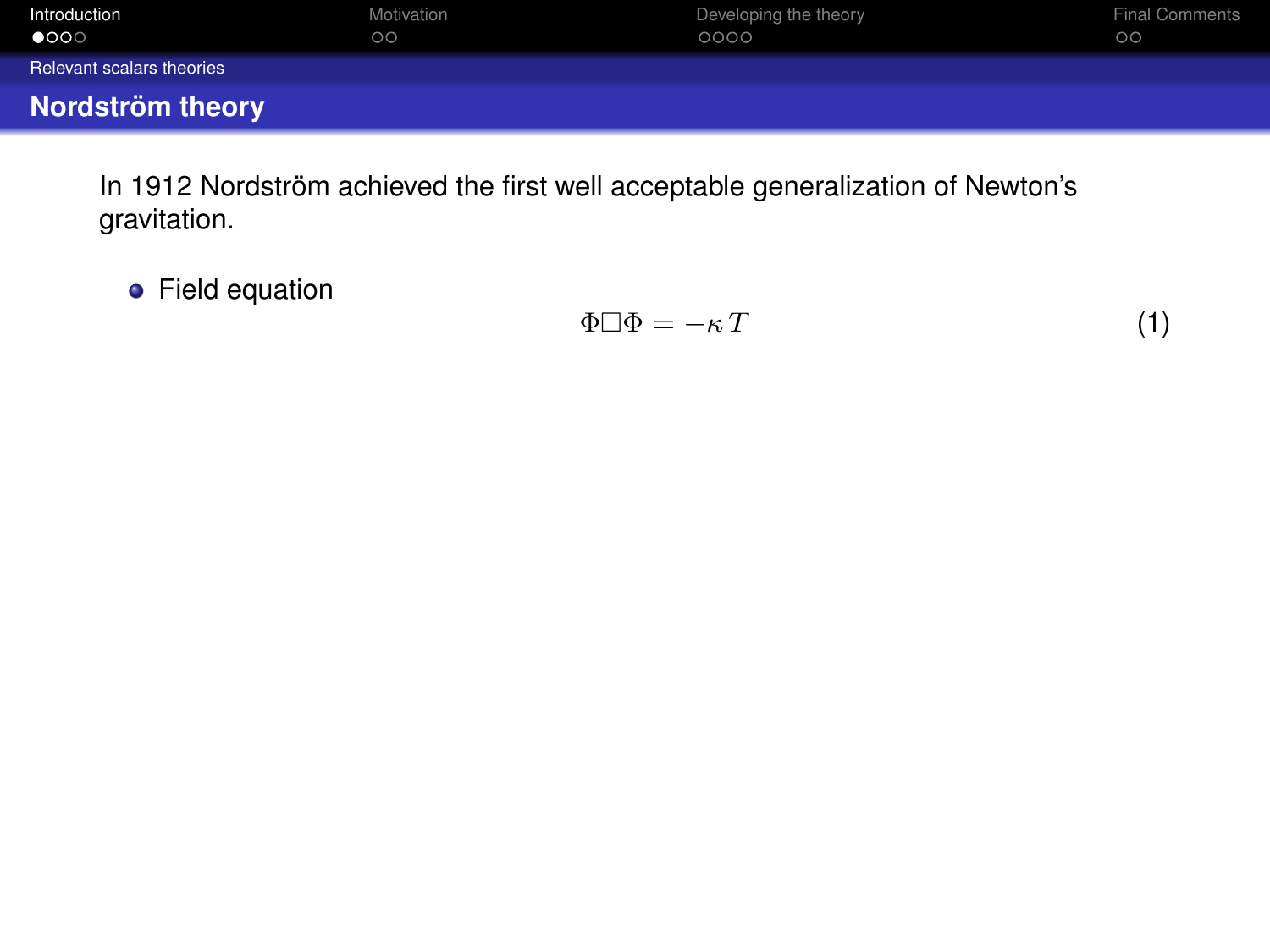<span id="page-3-0"></span>

| Introduction<br>$\bullet$ 000 | Motivation<br>$\circ$ | Developing the theory<br>0000 | <b>Final Comments</b><br>$\circ$ |
|-------------------------------|-----------------------|-------------------------------|----------------------------------|
| Relevant scalars theories     |                       |                               |                                  |
| Nordström theory              |                       |                               |                                  |

**•** Field equation

$$
\Phi \Box \Phi = -\kappa \, T \tag{1}
$$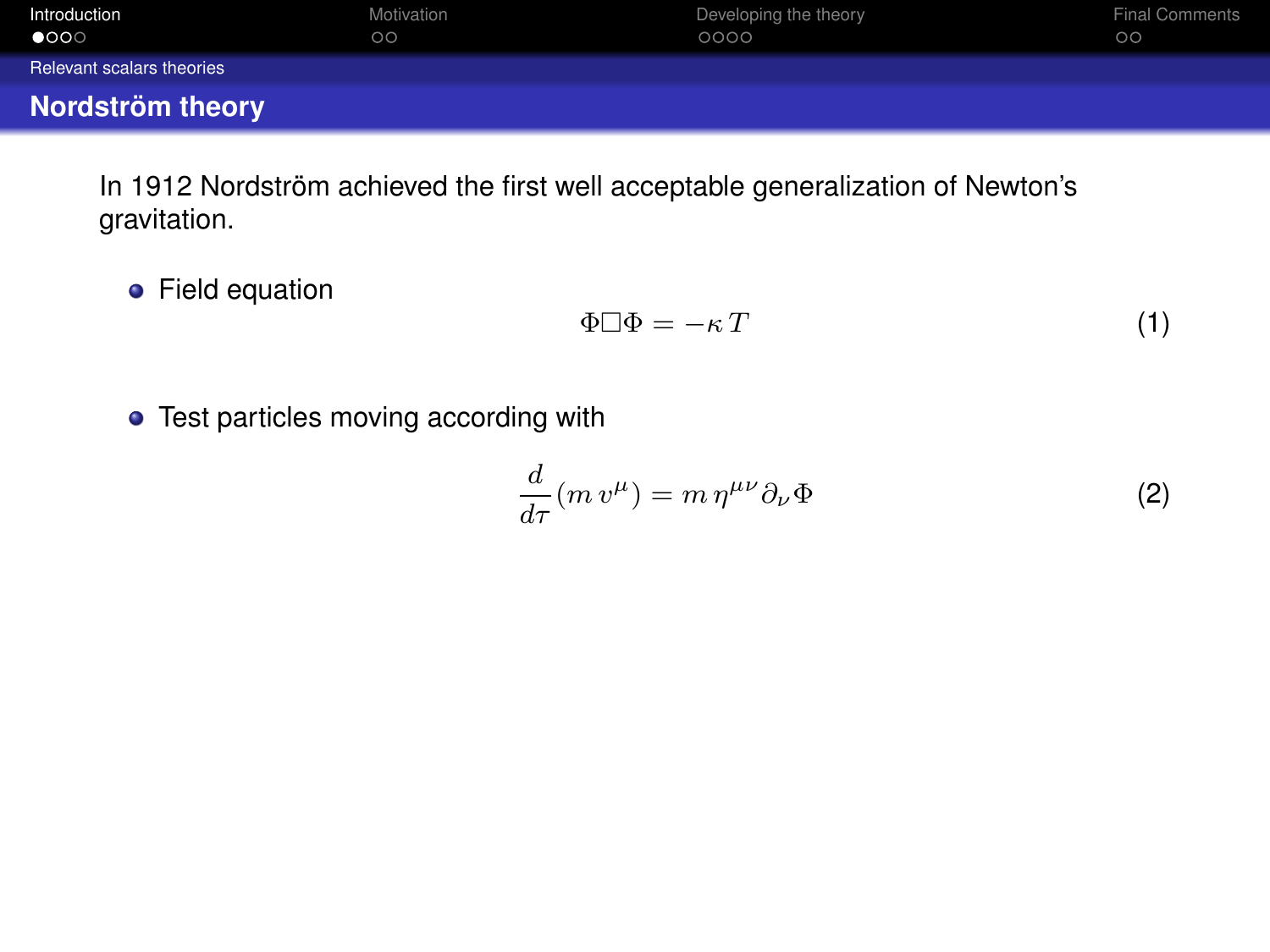<span id="page-4-0"></span>

| Introduction<br>$\bullet$ 000 | Motivation<br>$\circ$ | Developing the theory<br>0000 | <b>Final Comments</b><br>$\circ$ |
|-------------------------------|-----------------------|-------------------------------|----------------------------------|
| Relevant scalars theories     |                       |                               |                                  |
| Nordström theory              |                       |                               |                                  |

**•** Field equation

$$
\Phi \Box \Phi = -\kappa \, T \tag{1}
$$

**•** Test particles moving according with

$$
\frac{d}{d\tau}(m v^{\mu}) = m \eta^{\mu\nu} \partial_{\nu} \Phi \tag{2}
$$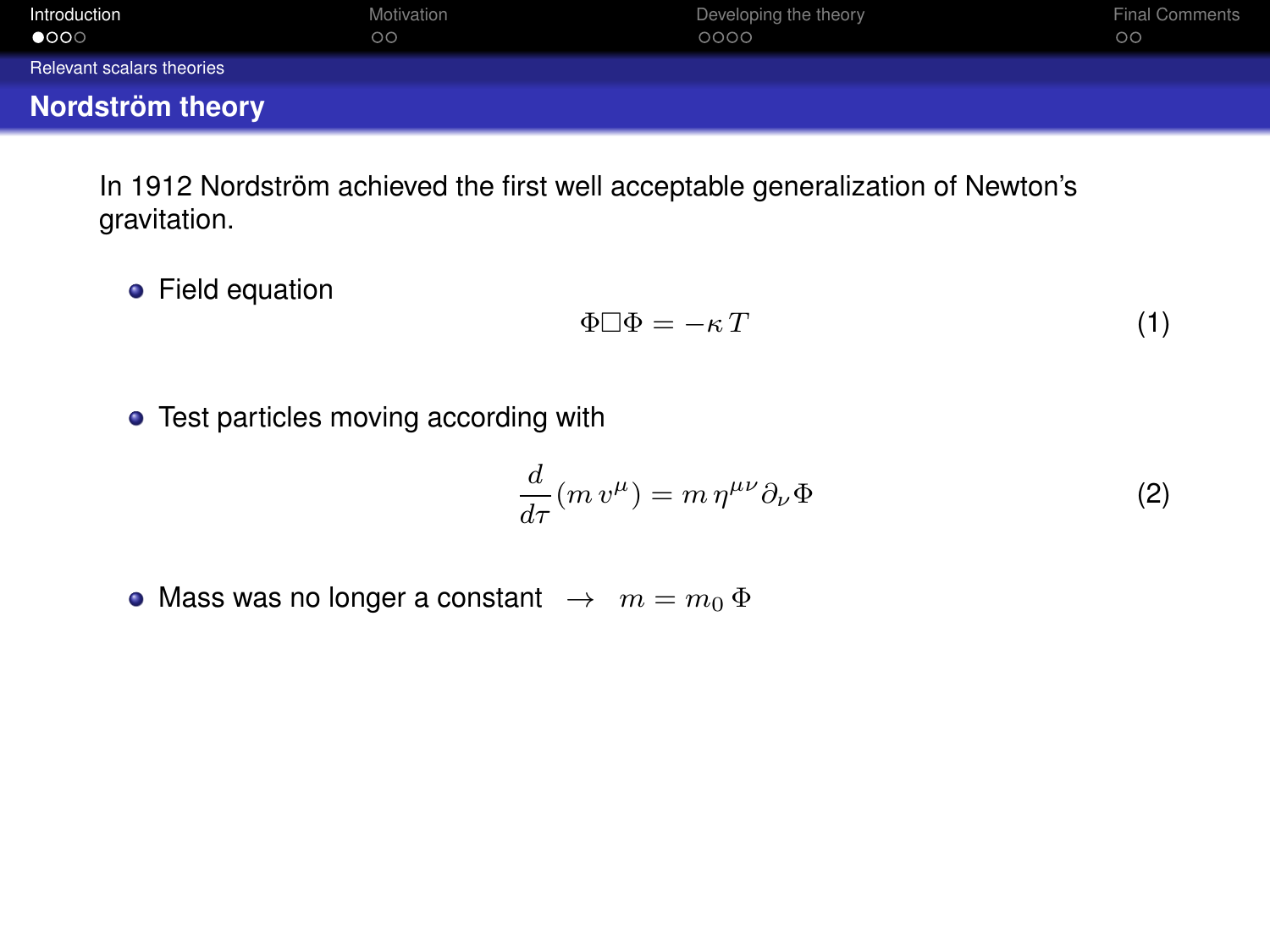<span id="page-5-0"></span>

| Introduction<br>$\bullet$ 000 | Motivation<br>$\circ$ | Developing the theory<br>0000 | <b>Final Comments</b><br>$\circ$ |
|-------------------------------|-----------------------|-------------------------------|----------------------------------|
| Relevant scalars theories     |                       |                               |                                  |
| Nordström theory              |                       |                               |                                  |

**•** Field equation

$$
\Phi \Box \Phi = -\kappa \, T \tag{1}
$$

• Test particles moving according with

$$
\frac{d}{d\tau}(m v^{\mu}) = m \eta^{\mu\nu} \partial_{\nu} \Phi \tag{2}
$$

• Mass was no longer a constant  $\rightarrow m = m_0 \Phi$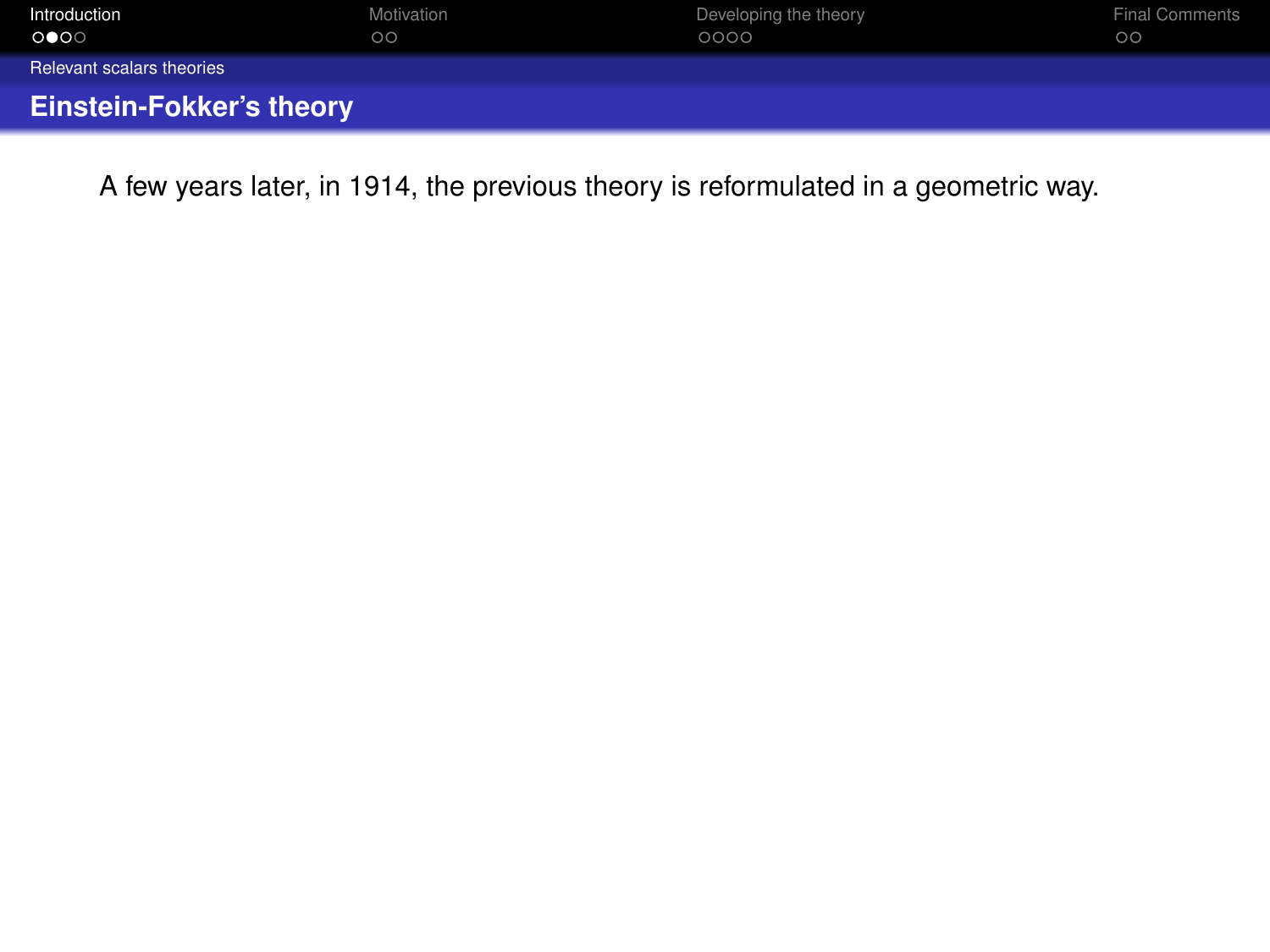<span id="page-6-0"></span>

| Introduction                    | Motivation | Developing the theory | <b>Final Comments</b> |
|---------------------------------|------------|-----------------------|-----------------------|
| ೕ                               | $\circ$    | 0000                  | $\circ$               |
| Relevant scalars theories       |            |                       |                       |
| <b>Einstein-Fokker's theory</b> |            |                       |                       |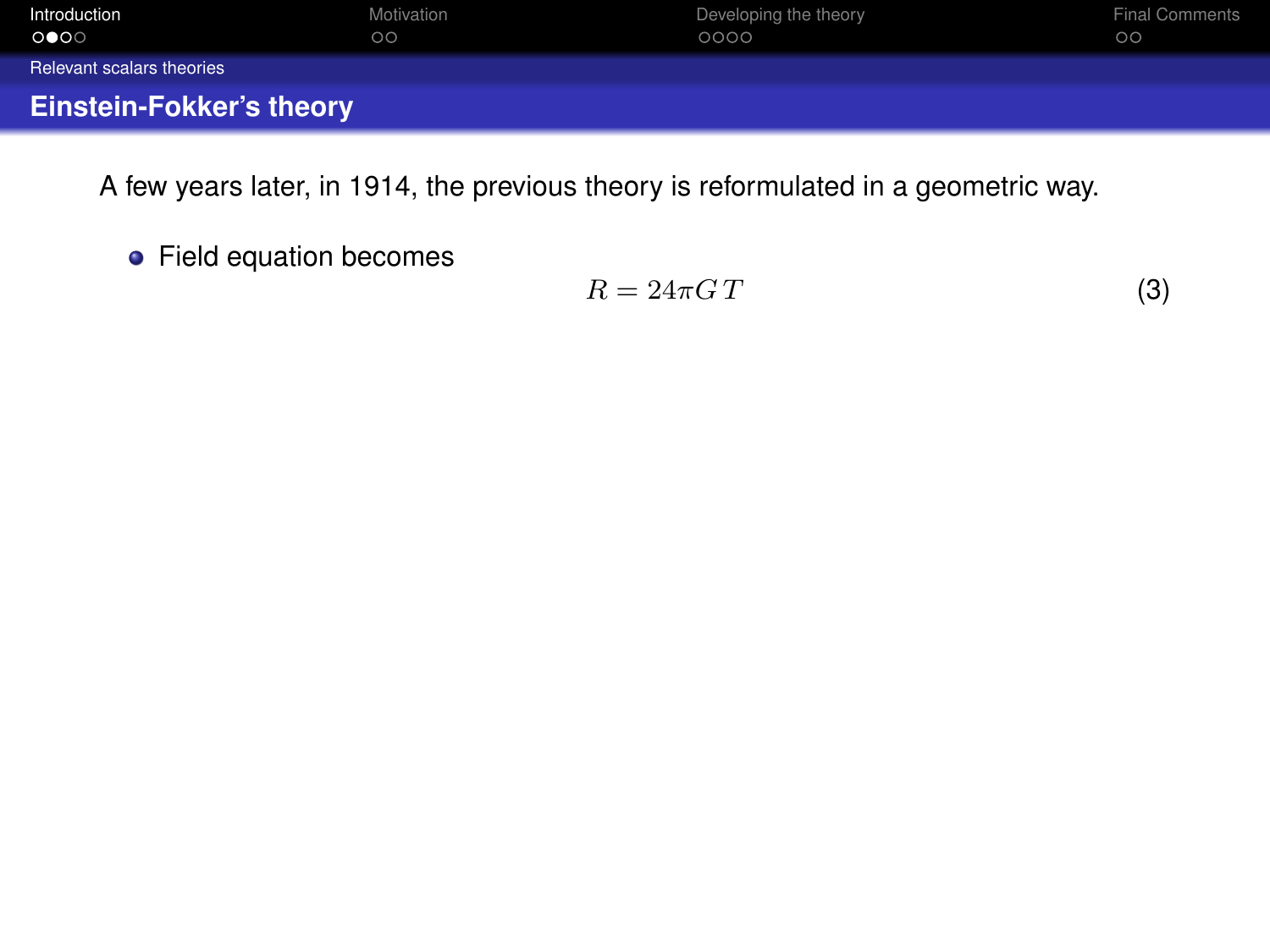<span id="page-7-0"></span>

| Introduction                    | Motivation | Developing the theory | <b>Final Comments</b> |
|---------------------------------|------------|-----------------------|-----------------------|
| ⊙●⊙⊙                            | $\circ$    | 0000                  | $\circ$               |
| Relevant scalars theories       |            |                       |                       |
| <b>Einstein-Fokker's theory</b> |            |                       |                       |

Field equation becomes

$$
R = 24\pi G \, T \tag{3}
$$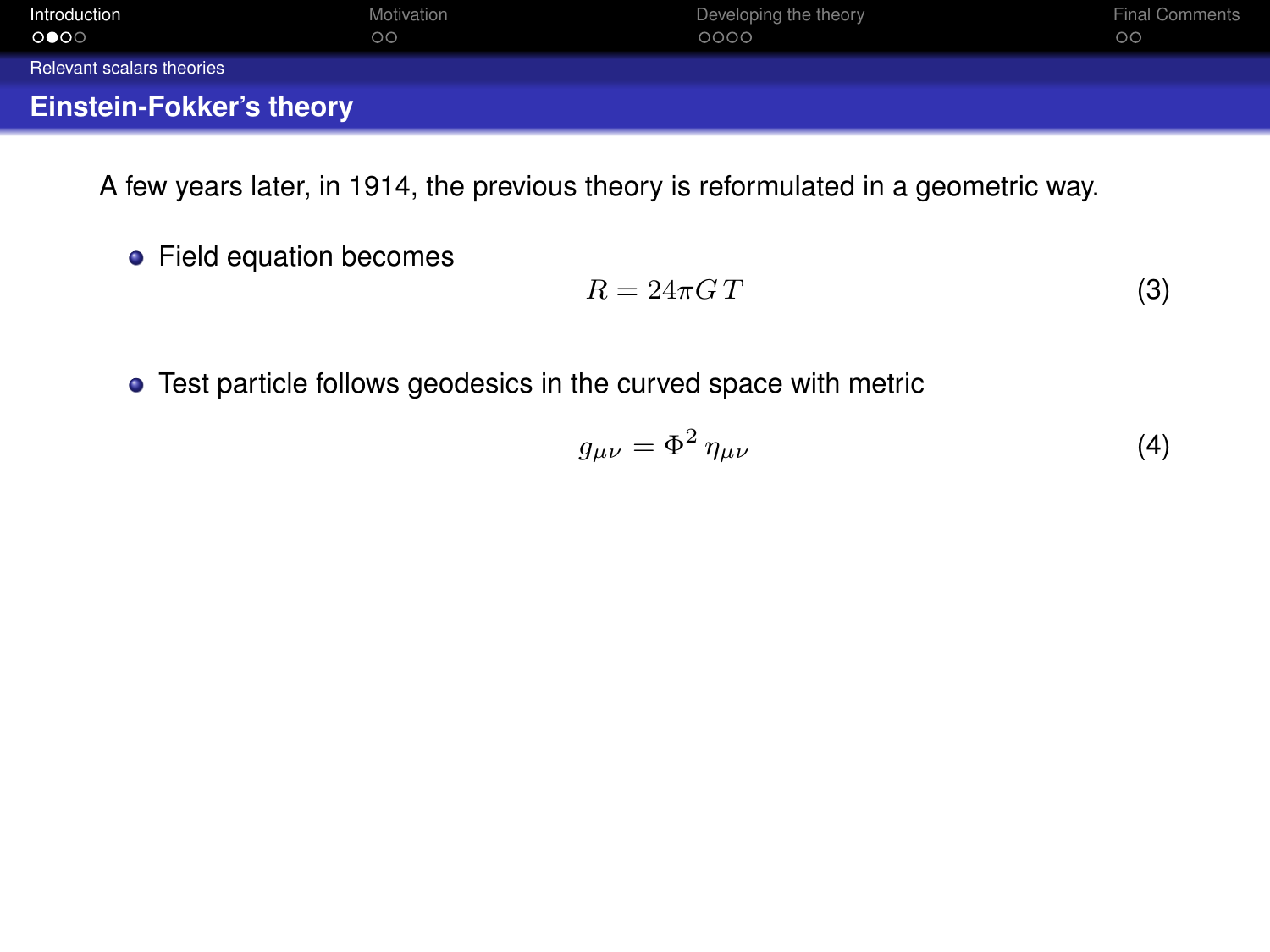<span id="page-8-0"></span>

| Introduction                    | Motivation | Developing the theory | <b>Final Comments</b> |
|---------------------------------|------------|-----------------------|-----------------------|
| ೕ                               | $\circ$    | 0000                  | $\circ$               |
| Relevant scalars theories       |            |                       |                       |
| <b>Einstein-Fokker's theory</b> |            |                       |                       |

Field equation becomes

$$
R = 24\pi G \, T \tag{3}
$$

Test particle follows geodesics in the curved space with metric

$$
g_{\mu\nu} = \Phi^2 \eta_{\mu\nu} \tag{4}
$$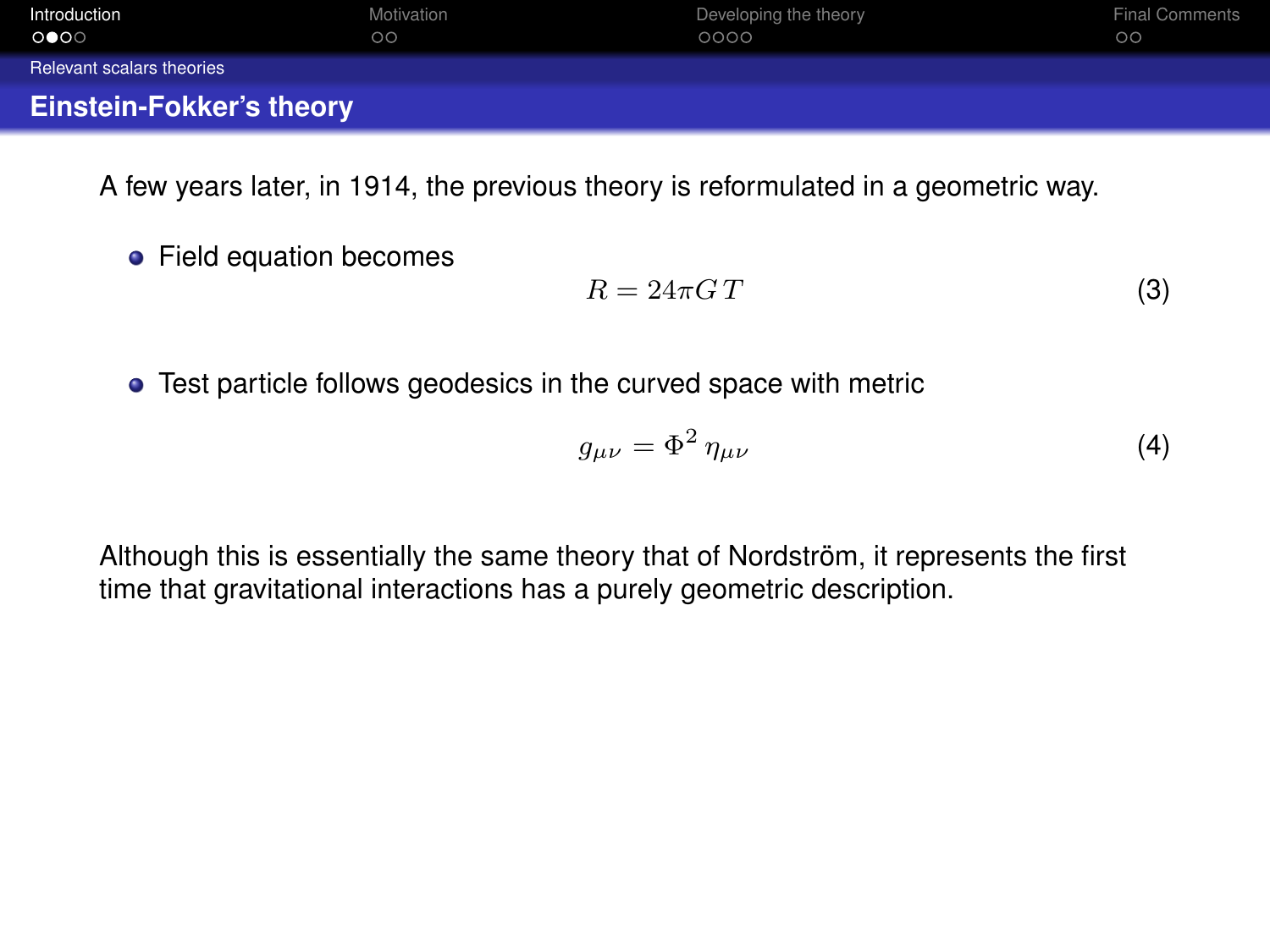<span id="page-9-0"></span>

| Introduction                    | Motivation | Developing the theory | <b>Final Comments</b> |
|---------------------------------|------------|-----------------------|-----------------------|
| ೕ                               | $\circ$    | 0000                  | $\circ$               |
| Relevant scalars theories       |            |                       |                       |
| <b>Einstein-Fokker's theory</b> |            |                       |                       |

**•** Field equation becomes

$$
R = 24\pi G \, T \tag{3}
$$

**•** Test particle follows geodesics in the curved space with metric

$$
g_{\mu\nu} = \Phi^2 \eta_{\mu\nu} \tag{4}
$$

Although this is essentially the same theory that of Nordström, it represents the first time that gravitational interactions has a purely geometric description.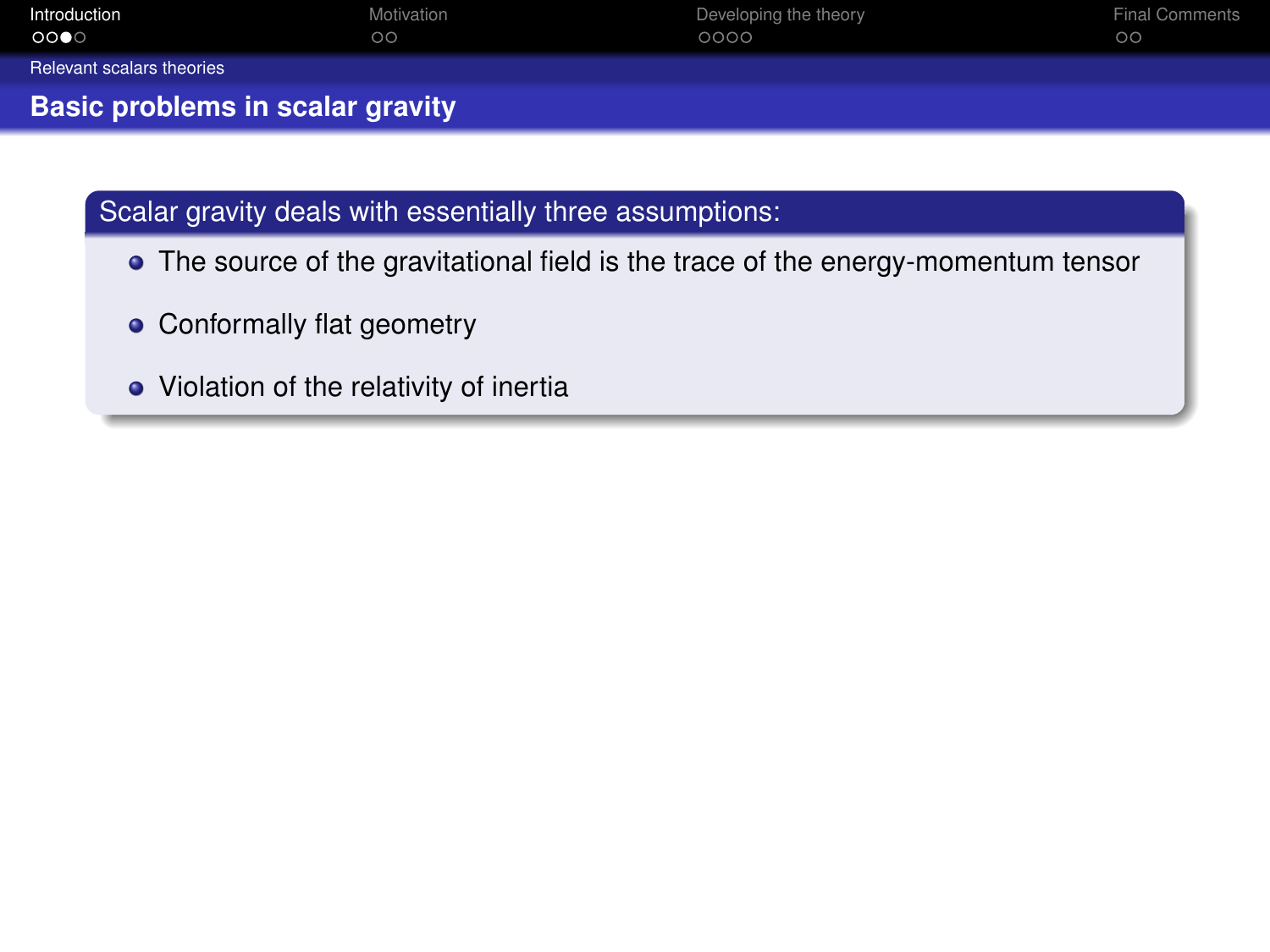<span id="page-10-0"></span>

| Introduction                            | Motivation | Developing the theory | <b>Final Comments</b> |
|-----------------------------------------|------------|-----------------------|-----------------------|
| ಂ∙ಂ                                     | $\circ$    | 0000                  | $\circ$               |
| Relevant scalars theories               |            |                       |                       |
| <b>Basic problems in scalar gravity</b> |            |                       |                       |

- The source of the gravitational field is the trace of the energy-momentum tensor
- Conformally flat geometry
- Violation of the relativity of inertia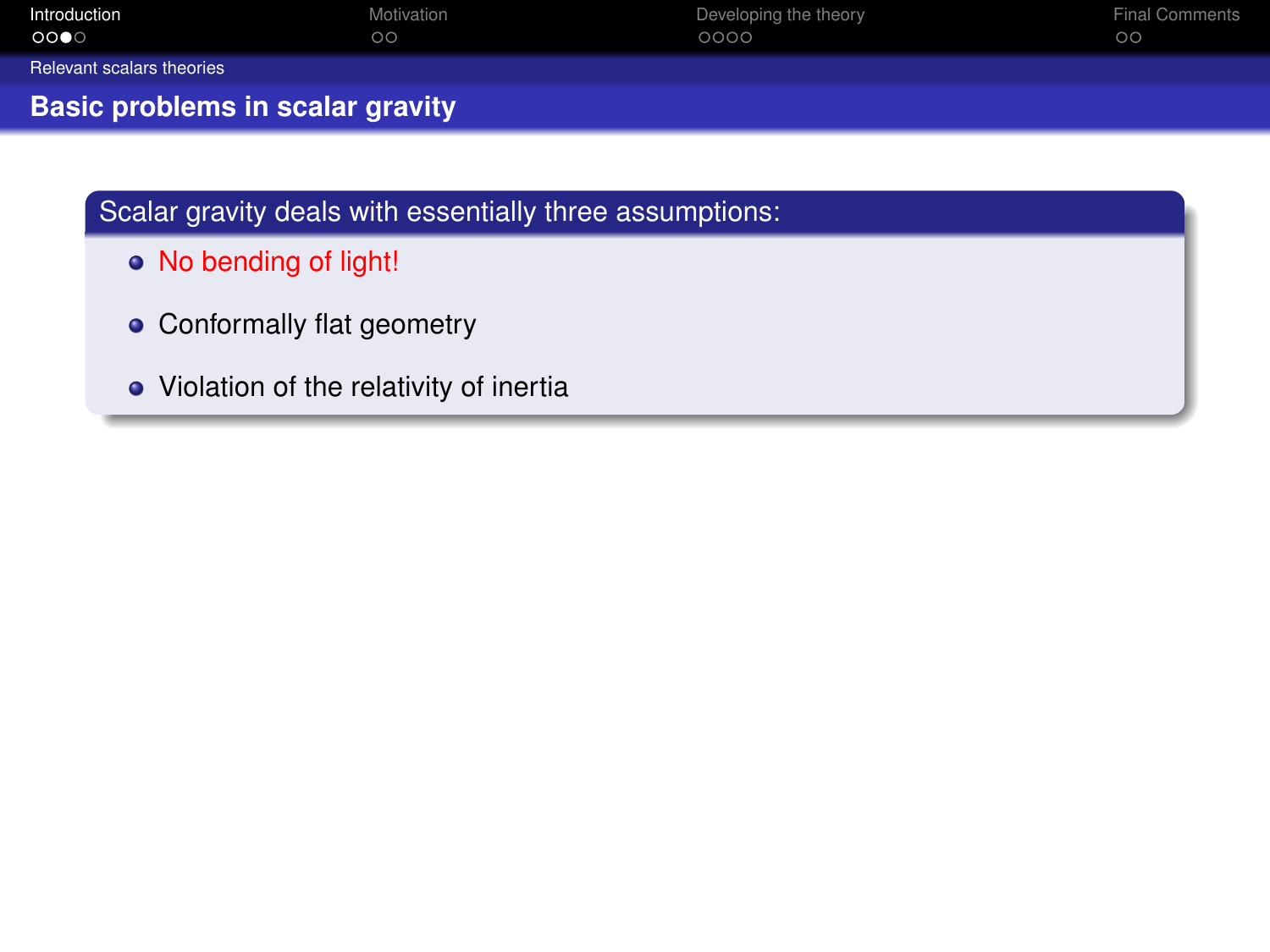<span id="page-11-0"></span>

| Introduction                            | Motivation | Developing the theory | <b>Final Comments</b> |
|-----------------------------------------|------------|-----------------------|-----------------------|
| $\circ\bullet\circ$                     | $\circ$    | 0000                  | $\circ$               |
| Relevant scalars theories               |            |                       |                       |
| <b>Basic problems in scalar gravity</b> |            |                       |                       |

- No bending of light!
- Conformally flat geometry
- Violation of the relativity of inertia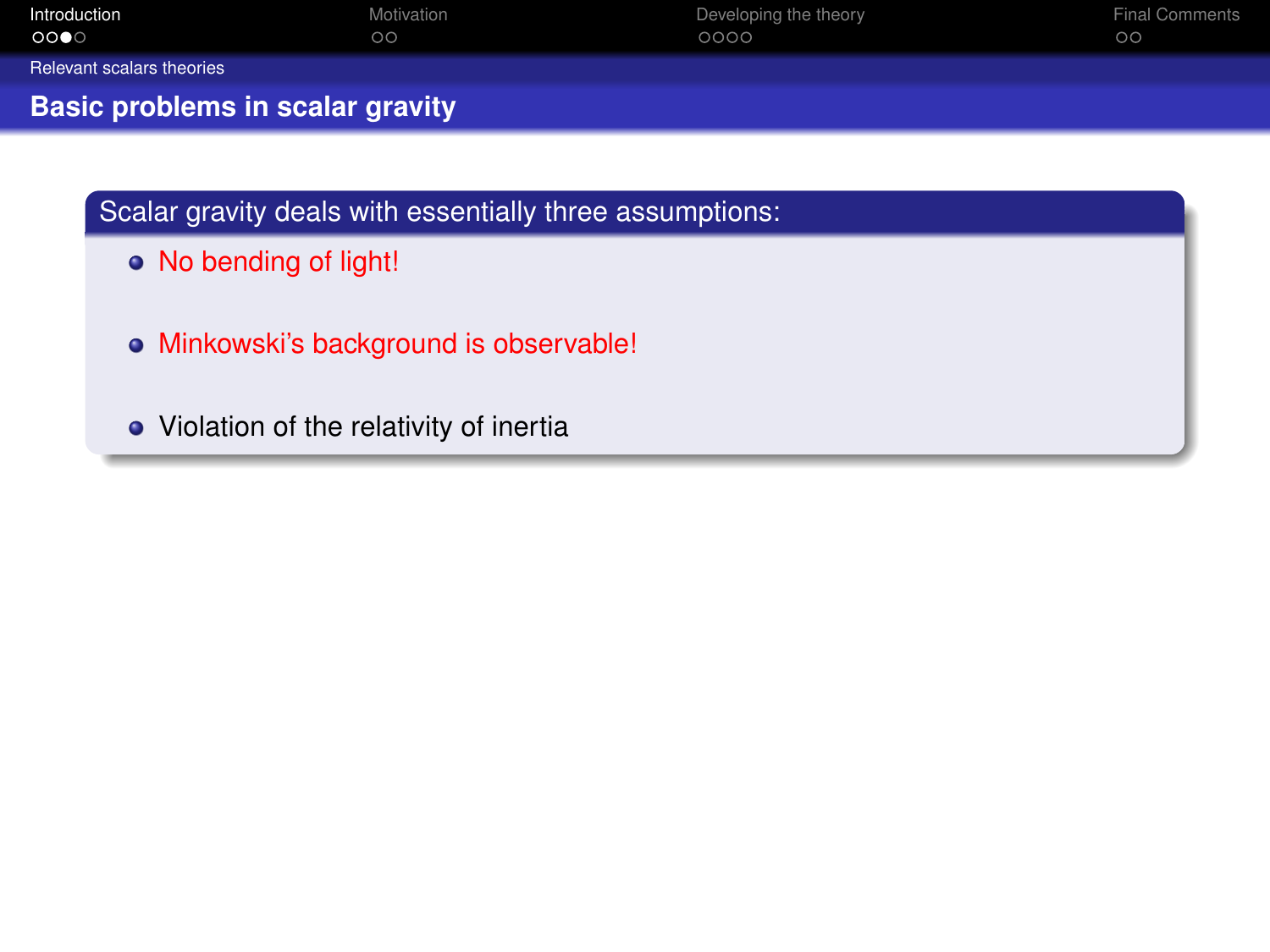<span id="page-12-0"></span>

| Introduction<br>$\circ\bullet\circ$ | Motivation<br>$\circ$ | Developing the theory<br>0000 | <b>Final Comments</b><br>$\circ$ |
|-------------------------------------|-----------------------|-------------------------------|----------------------------------|
| Relevant scalars theories           |                       |                               |                                  |
| Basic problems in scalar gravity    |                       |                               |                                  |

- No bending of light!
- Minkowski's background is observable!
- Violation of the relativity of inertia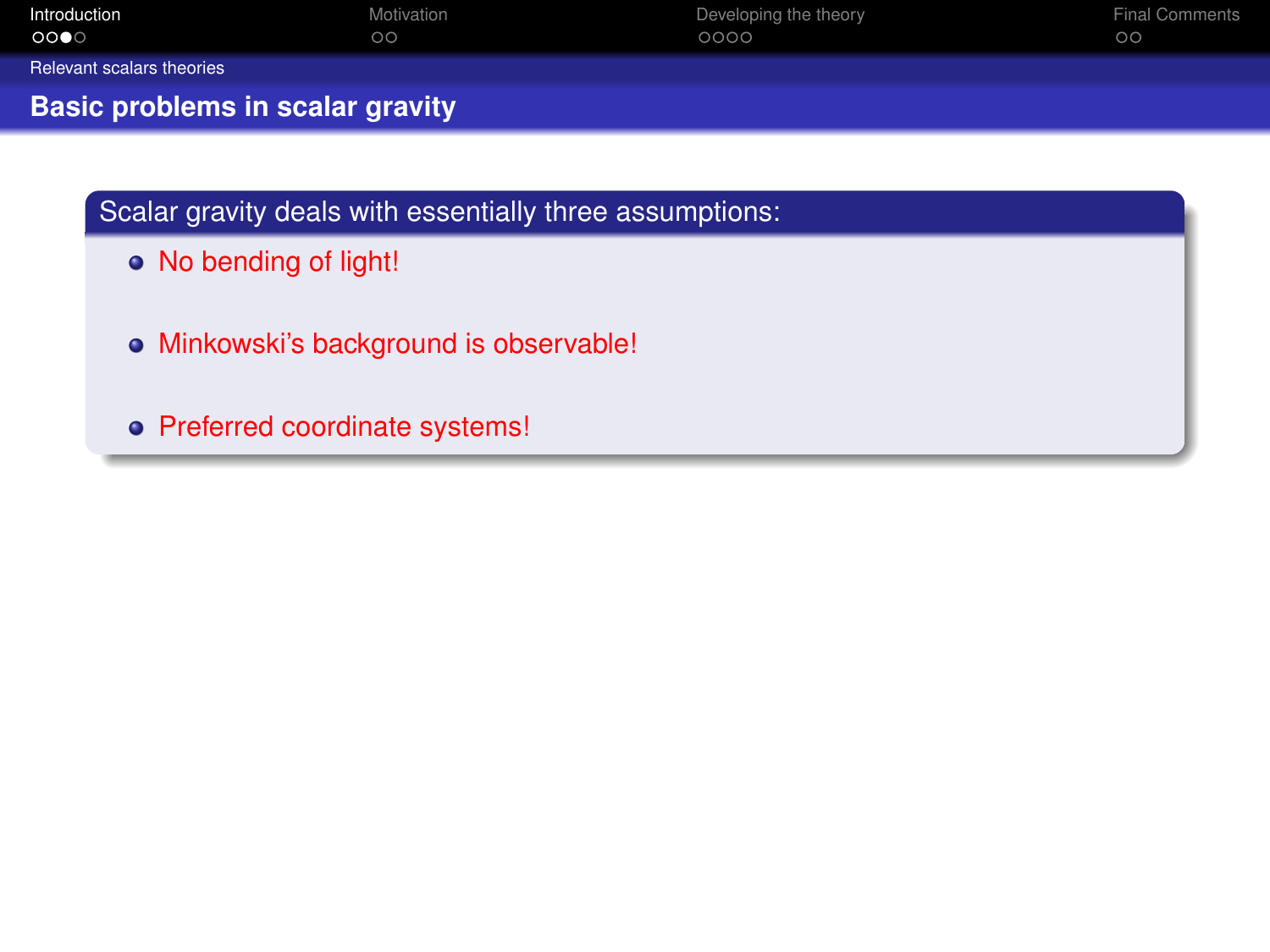<span id="page-13-0"></span>

| Introduction<br>ಂ∙ಂ                     | Motivation<br>$\circ$ | Developing the theory<br>0000 | <b>Final Comments</b><br>$\circ$ |
|-----------------------------------------|-----------------------|-------------------------------|----------------------------------|
| Relevant scalars theories               |                       |                               |                                  |
| <b>Basic problems in scalar gravity</b> |                       |                               |                                  |

- No bending of light!
- Minkowski's background is observable!
- Preferred coordinate systems!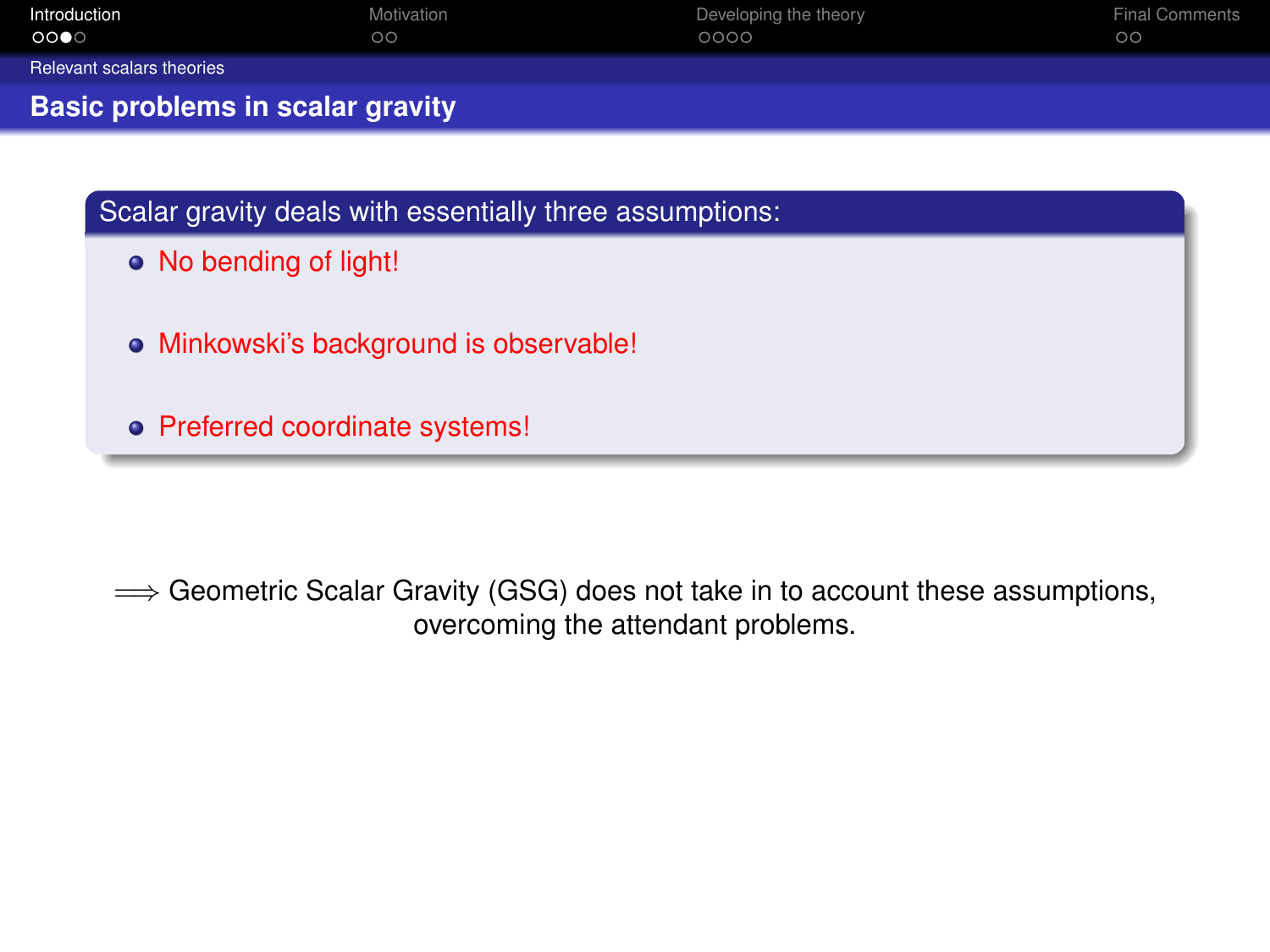<span id="page-14-0"></span>

| Introduction<br>0000                                     | Motivation<br>$\circ$ | Developing the theory<br>0000 | <b>Final Comments</b><br>$\circ$ |
|----------------------------------------------------------|-----------------------|-------------------------------|----------------------------------|
| Relevant scalars theories                                |                       |                               |                                  |
| Basic problems in scalar gravity                         |                       |                               |                                  |
|                                                          |                       |                               |                                  |
| Scalar gravity deals with essentially three assumptions: |                       |                               |                                  |

- No bending of light!
- Minkowski's background is observable!
- Preferred coordinate systems!

⇒ Geometric Scalar Gravity (GSG) does not take in to account these assumptions, overcoming the attendant problems.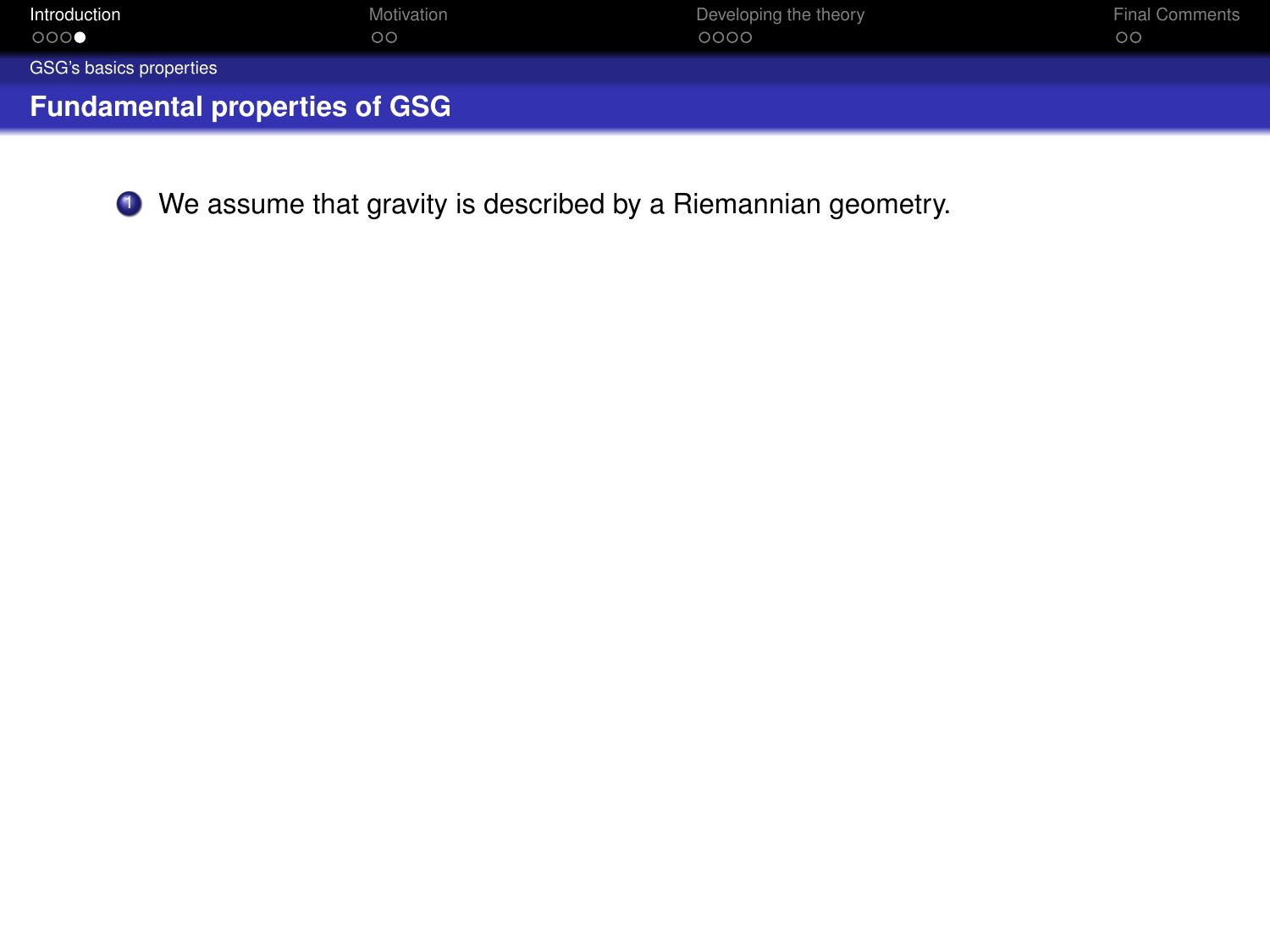<span id="page-15-0"></span>

| Introduction                         | Motivation | Developing the theory | <b>Final Comments</b> |
|--------------------------------------|------------|-----------------------|-----------------------|
| 000                                  | $\circ$    | 0000                  | $\circ$               |
| GSG's basics properties              |            |                       |                       |
| <b>Fundamental properties of GSG</b> |            |                       |                       |

<sup>1</sup> We assume that gravity is described by a Riemannian geometry.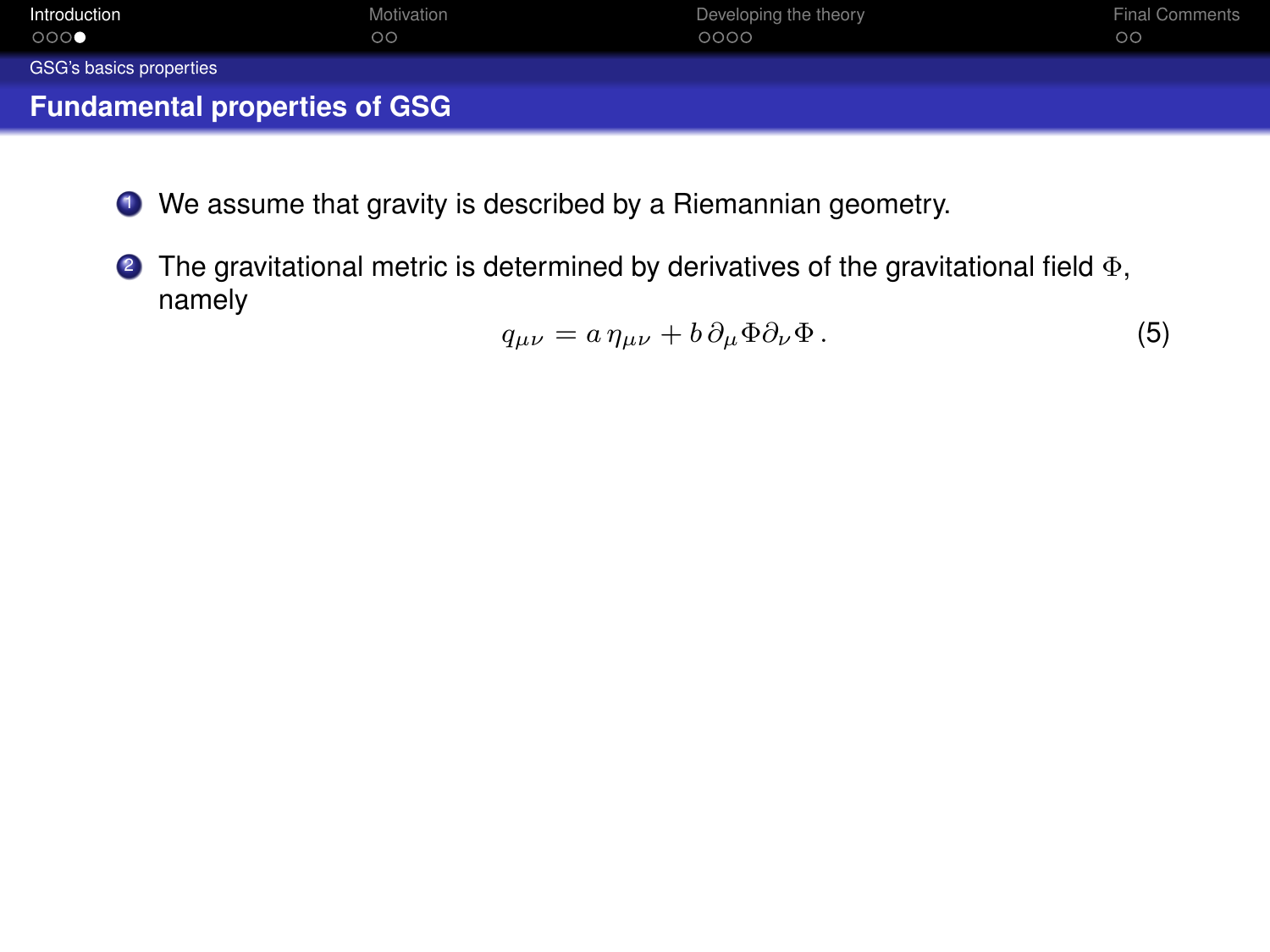<span id="page-16-0"></span>

| Introduction                         | Motivation | Developing the theory | <b>Final Comments</b> |
|--------------------------------------|------------|-----------------------|-----------------------|
| 000                                  | $\circ$    | 0000                  | $\circ$               |
| GSG's basics properties              |            |                       |                       |
| <b>Fundamental properties of GSG</b> |            |                       |                       |

- <sup>1</sup> We assume that gravity is described by a Riemannian geometry.
- **2** The gravitational metric is determined by derivatives of the gravitational field  $\Phi$ , namely

$$
q_{\mu\nu} = a \,\eta_{\mu\nu} + b \,\partial_{\mu}\Phi \partial_{\nu}\Phi. \tag{5}
$$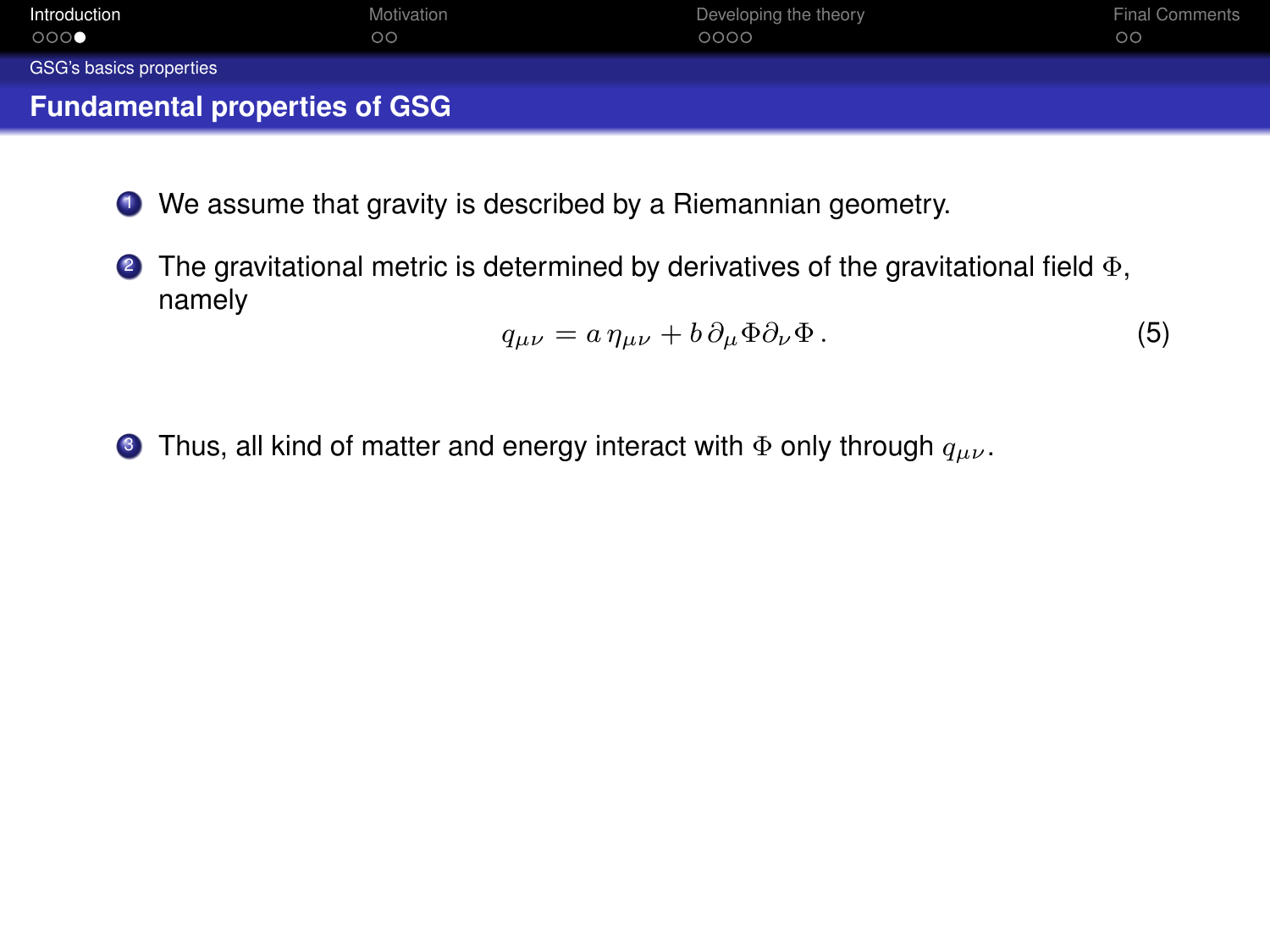<span id="page-17-0"></span>

| Introduction                         | Motivation | Developing the theory | <b>Final Comments</b> |
|--------------------------------------|------------|-----------------------|-----------------------|
| 000                                  | $\circ$    | 0000                  | $\circ$               |
| GSG's basics properties              |            |                       |                       |
| <b>Fundamental properties of GSG</b> |            |                       |                       |

- <sup>1</sup> We assume that gravity is described by a Riemannian geometry.
- $\bullet$  The gravitational metric is determined by derivatives of the gravitational field  $\Phi$ , namely

$$
q_{\mu\nu} = a \,\eta_{\mu\nu} + b \,\partial_\mu \Phi \partial_\nu \Phi \,. \tag{5}
$$

**3** Thus, all kind of matter and energy interact with  $\Phi$  only through  $q_{\mu\nu}$ .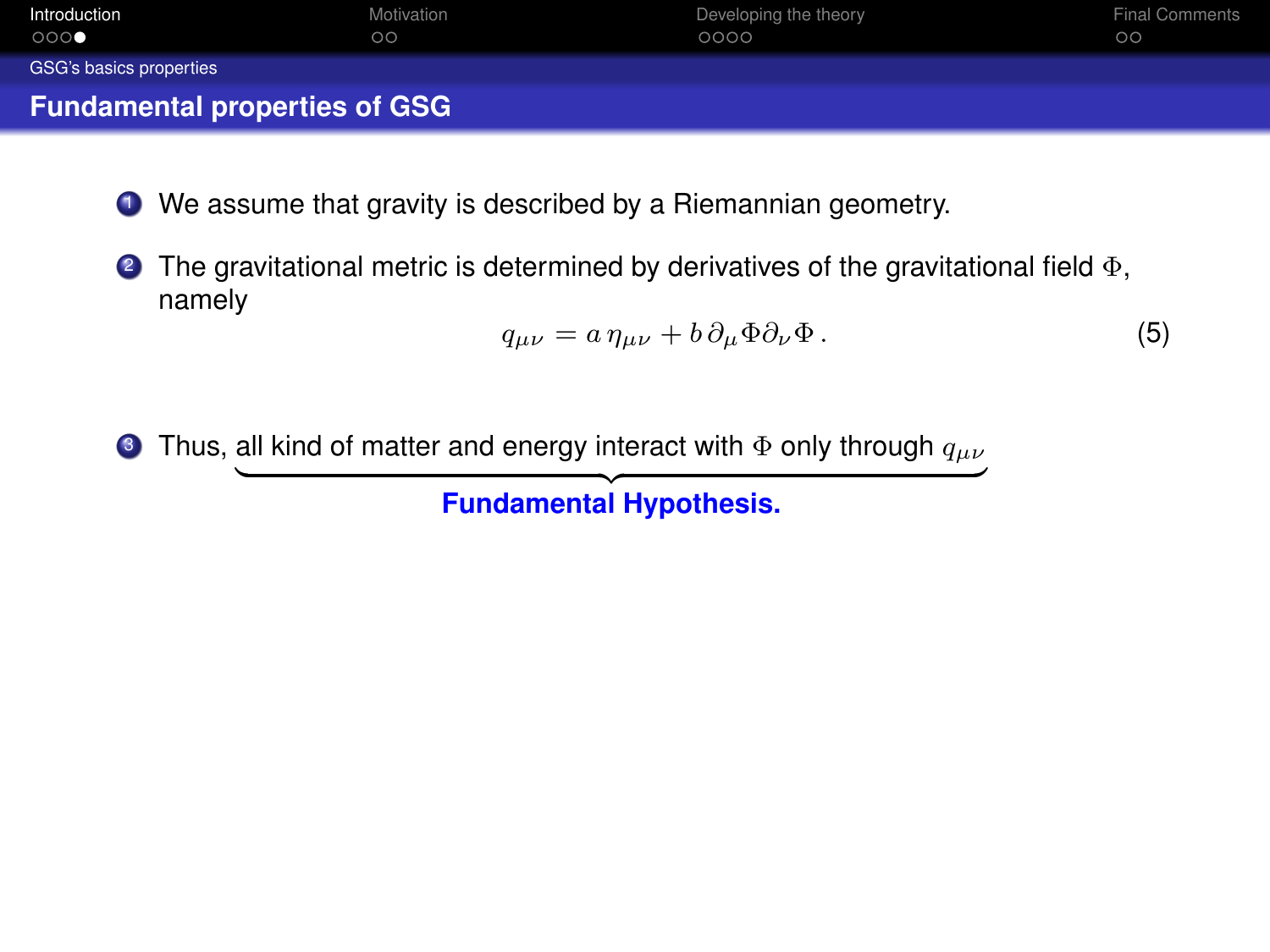<span id="page-18-0"></span>

| Introduction                         | Motivation | Developing the theory | <b>Final Comments</b> |
|--------------------------------------|------------|-----------------------|-----------------------|
| 000                                  | $\circ$    | 0000                  | $\circ$               |
| GSG's basics properties              |            |                       |                       |
| <b>Fundamental properties of GSG</b> |            |                       |                       |

- <sup>1</sup> We assume that gravity is described by a Riemannian geometry.
- $\bullet$  The gravitational metric is determined by derivatives of the gravitational field  $\Phi$ , namely

$$
q_{\mu\nu} = a \,\eta_{\mu\nu} + b \,\partial_\mu \Phi \partial_\nu \Phi \,. \tag{5}
$$

**3** Thus, all kind of matter and energy interact with  $\Phi$  only through  $q_{\mu\nu}$ 

**Fundamental Hypothesis.**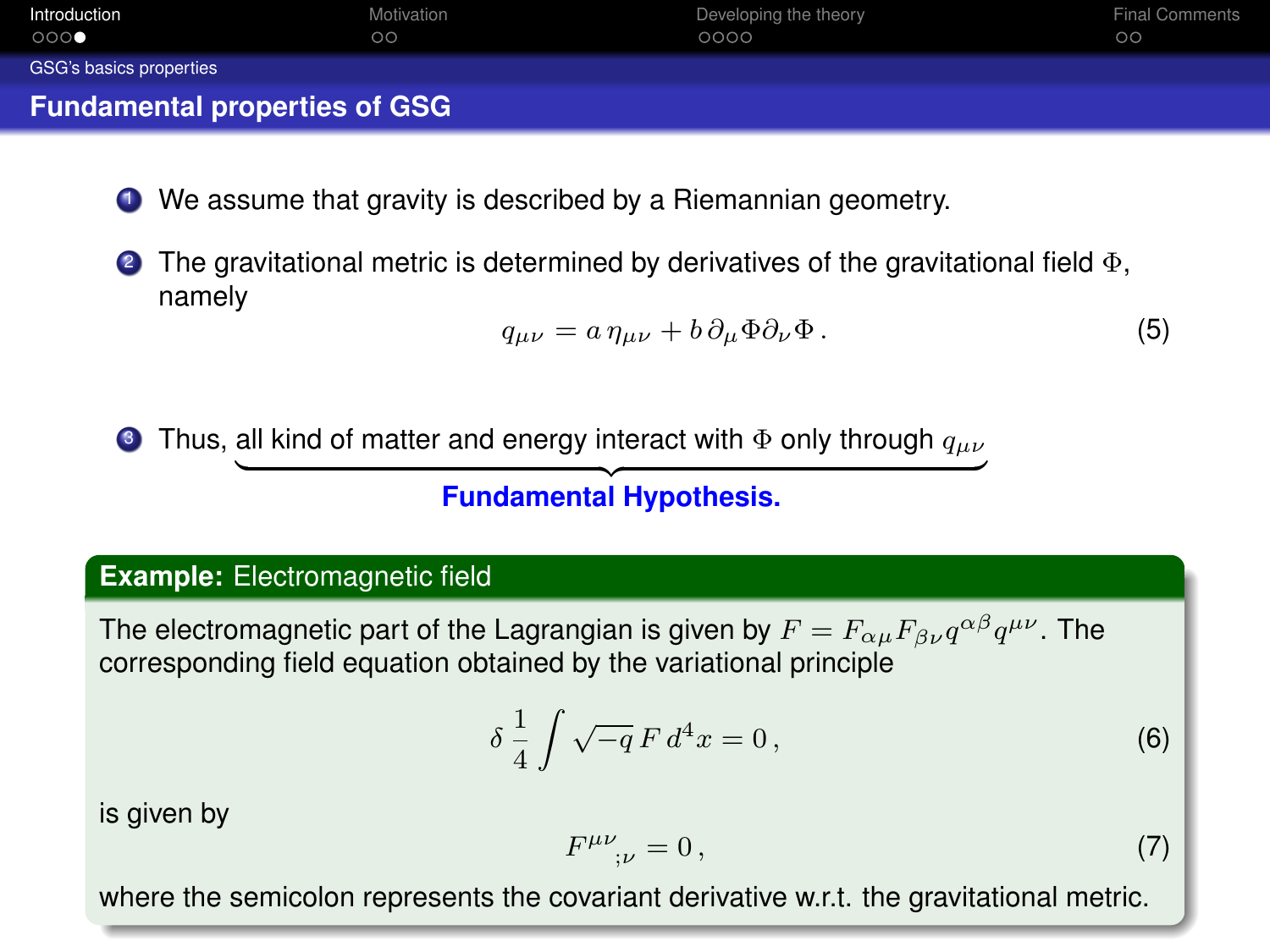<span id="page-19-0"></span>

| Introduction                         | Motivation | Developing the theory | <b>Final Comments</b> |
|--------------------------------------|------------|-----------------------|-----------------------|
| 000                                  | $\circ$    | 0000                  | $\circ$               |
| GSG's basics properties              |            |                       |                       |
| <b>Fundamental properties of GSG</b> |            |                       |                       |

- <sup>1</sup> We assume that gravity is described by a Riemannian geometry.
- **2** The gravitational metric is determined by derivatives of the gravitational field  $\Phi$ , namely

$$
q_{\mu\nu} = a \,\eta_{\mu\nu} + b \,\partial_\mu \Phi \partial_\nu \Phi \,. \tag{5}
$$

**3** Thus, all kind of matter and energy interact with  $\Phi$  only through  $q_{\mu\nu}$ 

# **Fundamental Hypothesis.**

#### **Example:** Electromagnetic field

The electromagnetic part of the Lagrangian is given by  $F=F_{\alpha\mu}F_{\beta\nu}q^{\alpha\beta}q^{\mu\nu}.$  The corresponding field equation obtained by the variational principle

$$
\delta \frac{1}{4} \int \sqrt{-q} F d^4 x = 0, \qquad (6)
$$

is given by

$$
F^{\mu\nu}_{\quad;\nu} = 0\,,\tag{7}
$$

where the semicolon represents the covariant derivative w.r.t. the gravitational metric.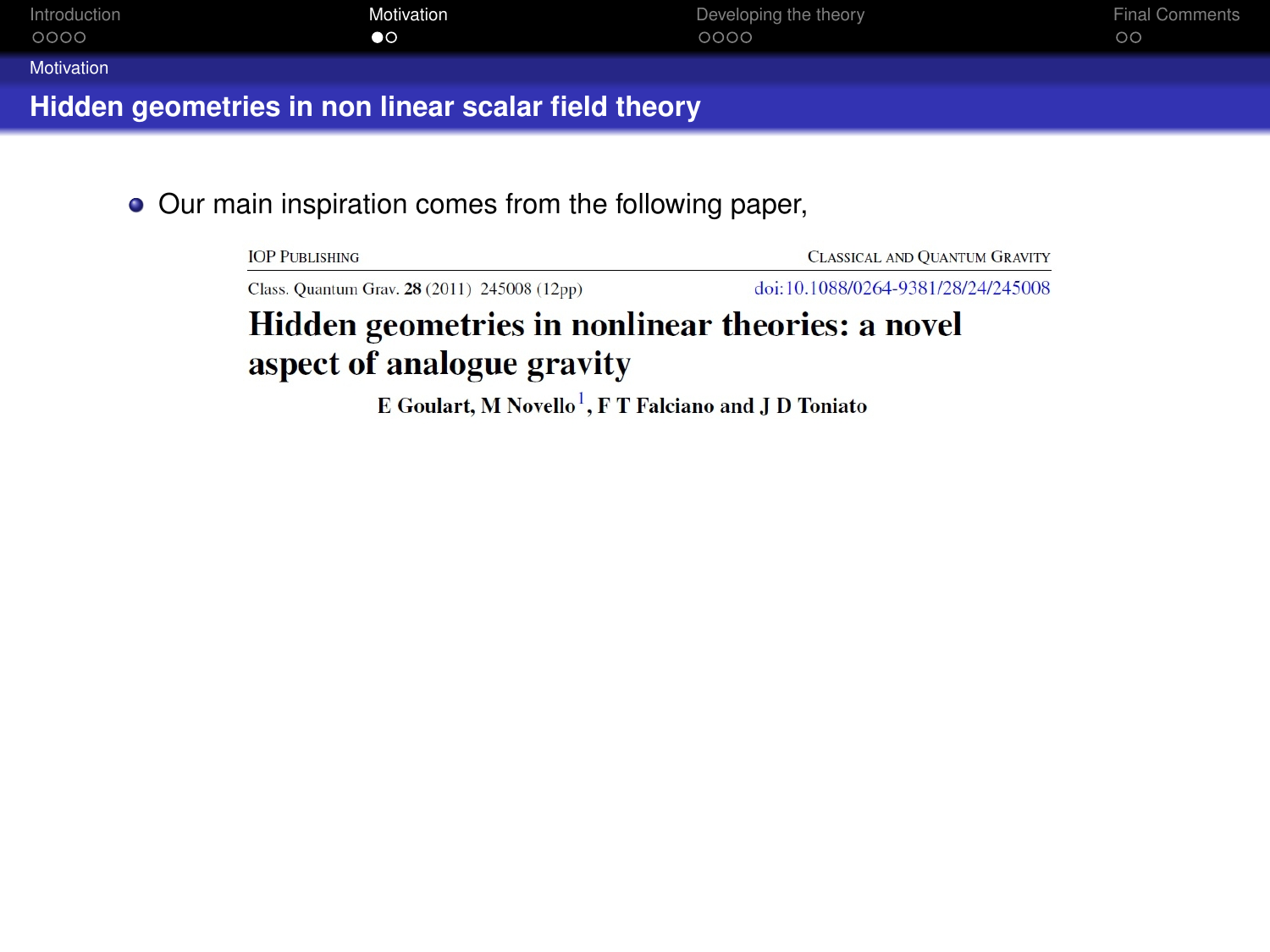<span id="page-20-0"></span>

| Introduction                                        | Motivation | Developing the theory | <b>Final Comments</b> |  |  |
|-----------------------------------------------------|------------|-----------------------|-----------------------|--|--|
| 0000                                                | $\bullet$  | 0000                  | $\circ$               |  |  |
| Motivation                                          |            |                       |                       |  |  |
| Hidden geometries in non linear scalar field theory |            |                       |                       |  |  |

• Our main inspiration comes from the following paper,

**IOP PUBLISHING** 

**CLASSICAL AND OHANTUM GRAVITY** 

Class, Ouantum Gray, 28 (2011) 245008 (12pp)

doi:10.1088/0264-9381/28/24/245008

# Hidden geometries in nonlinear theories: a novel aspect of analogue gravity

E Goulart, M Novello<sup>1</sup>, F T Falciano and J D Toniato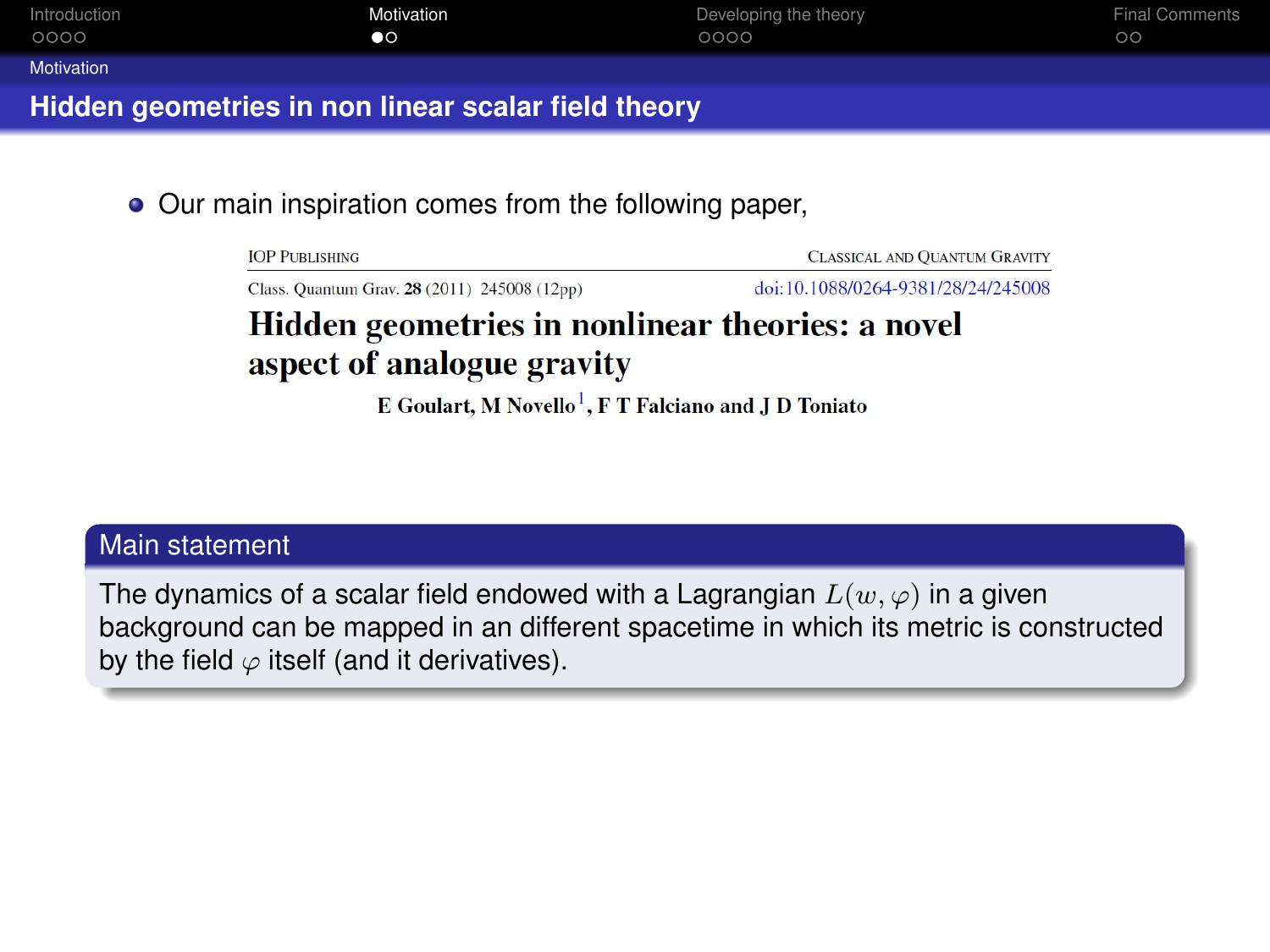<span id="page-21-0"></span>

| Introduction                                        | Motivation      | Developing the theory | <b>Final Comments</b> |  |  |
|-----------------------------------------------------|-----------------|-----------------------|-----------------------|--|--|
| 0000                                                | $\bullet \circ$ | 0000                  | $\circ$               |  |  |
| Motivation                                          |                 |                       |                       |  |  |
| Hidden geometries in non linear scalar field theory |                 |                       |                       |  |  |

• Our main inspiration comes from the following paper,

**IOP PUBLISHING** 

**CLASSICAL AND OUANTUM GRAVITY** 

Class, Ouantum Gray, 28 (2011) 245008 (12pp)

doi:10.1088/0264-9381/28/24/245008

# Hidden geometries in nonlinear theories: a novel aspect of analogue gravity

E Goulart, M Novello<sup>1</sup>, F T Falciano and J D Toniato

#### Main statement

The dynamics of a scalar field endowed with a Lagrangian  $L(w, \varphi)$  in a given background can be mapped in an different spacetime in which its metric is constructed by the field  $\varphi$  itself (and it derivatives).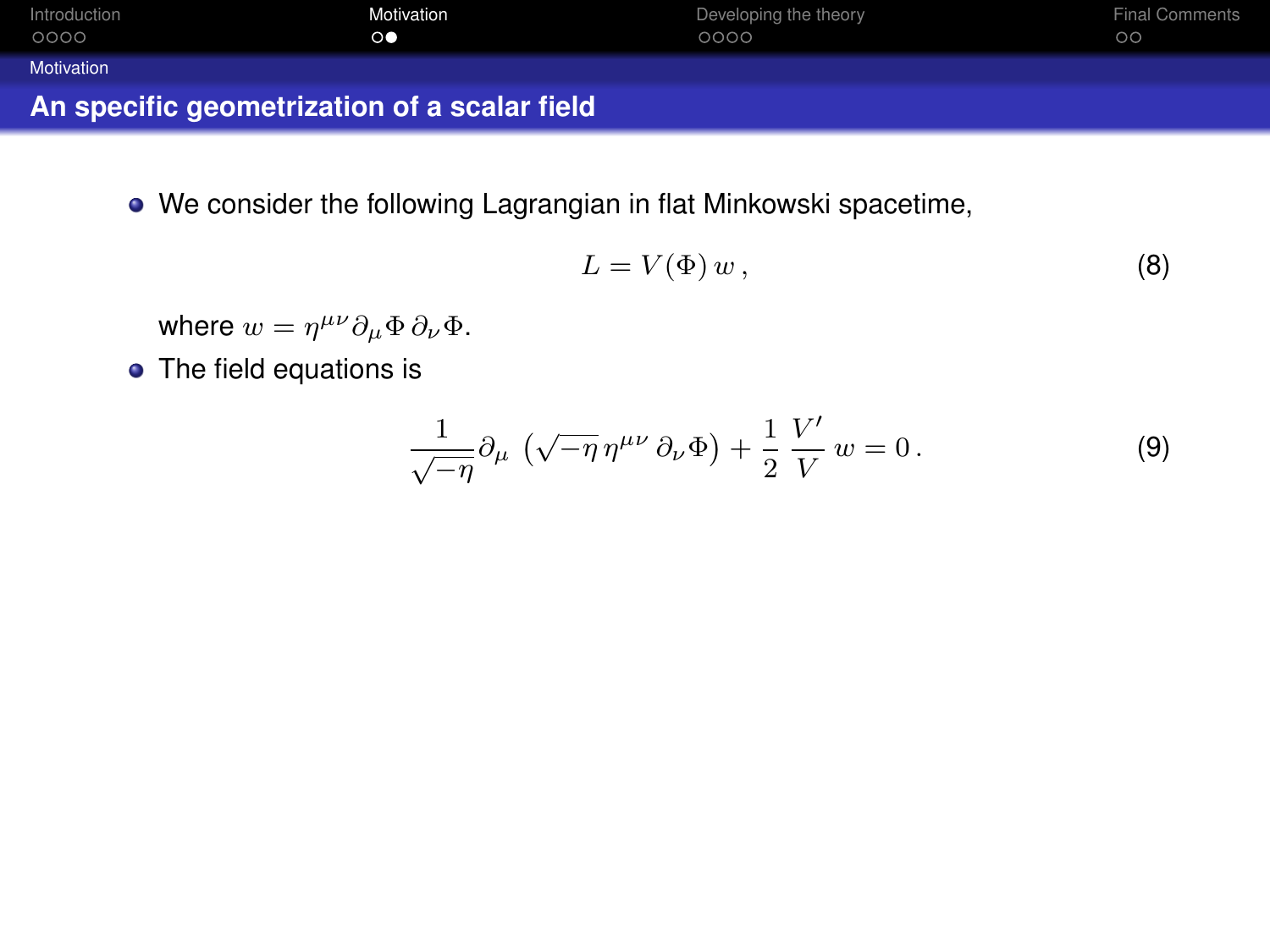<span id="page-22-0"></span>

| Introduction                                 | Motivation      | Developing the theory | <b>Final Comments</b> |
|----------------------------------------------|-----------------|-----------------------|-----------------------|
| 0000                                         | $\circ \bullet$ | 0000                  | $\circ$               |
| Motivation                                   |                 |                       |                       |
| An specific geometrization of a scalar field |                 |                       |                       |

We consider the following Lagrangian in flat Minkowski spacetime,

$$
L = V(\Phi) w, \tag{8}
$$

where  $w = \eta^{\mu\nu} \partial_{\mu} \Phi \, \partial_{\nu} \Phi$ .

• The field equations is

$$
\frac{1}{\sqrt{-\eta}}\partial_{\mu} \left( \sqrt{-\eta} \,\eta^{\mu\nu} \,\partial_{\nu} \Phi \right) + \frac{1}{2} \frac{V'}{V} w = 0. \tag{9}
$$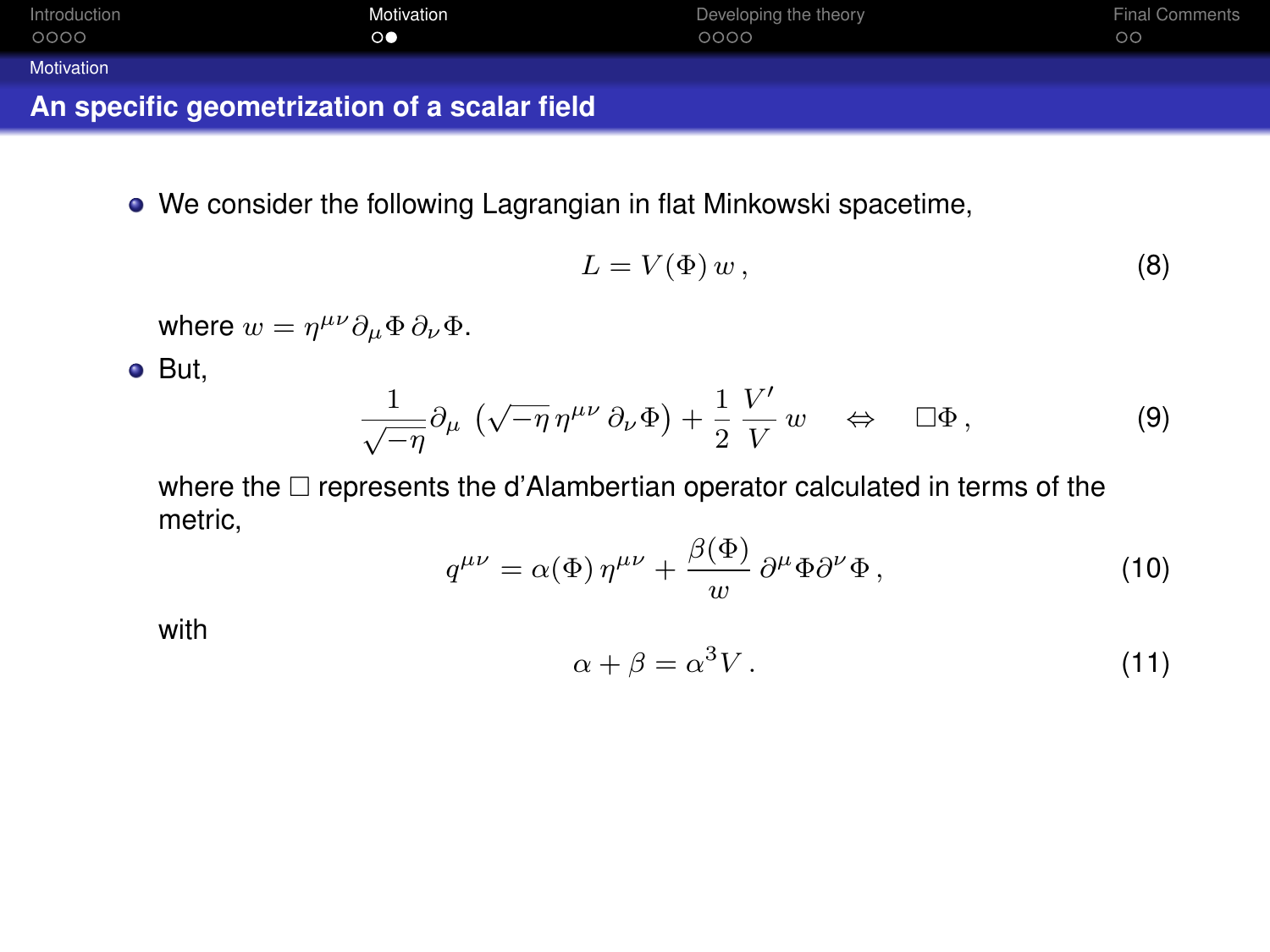<span id="page-23-0"></span>

| Introduction                                 | Motivation      | Developing the theory | <b>Final Comments</b> |
|----------------------------------------------|-----------------|-----------------------|-----------------------|
| 0000                                         | $\circ \bullet$ | 0000                  | $\circ$               |
| Motivation                                   |                 |                       |                       |
| An specific geometrization of a scalar field |                 |                       |                       |

We consider the following Lagrangian in flat Minkowski spacetime,

$$
L = V(\Phi) w, \tag{8}
$$

where  $w = \eta^{\mu\nu} \partial_{\mu} \Phi \, \partial_{\nu} \Phi$ .

But,

$$
\frac{1}{\sqrt{-\eta}}\partial_{\mu}(\sqrt{-\eta}\,\eta^{\mu\nu}\,\partial_{\nu}\Phi)+\frac{1}{2}\,\frac{V'}{V}\,w\quad\Leftrightarrow\quad\square\Phi\,,\tag{9}
$$

where the  $\Box$  represents the d'Alambertian operator calculated in terms of the metric,

$$
q^{\mu\nu} = \alpha(\Phi) \,\eta^{\mu\nu} + \frac{\beta(\Phi)}{w} \,\partial^{\mu}\Phi \partial^{\nu}\Phi \,, \tag{10}
$$

with

$$
\alpha + \beta = \alpha^3 V \,. \tag{11}
$$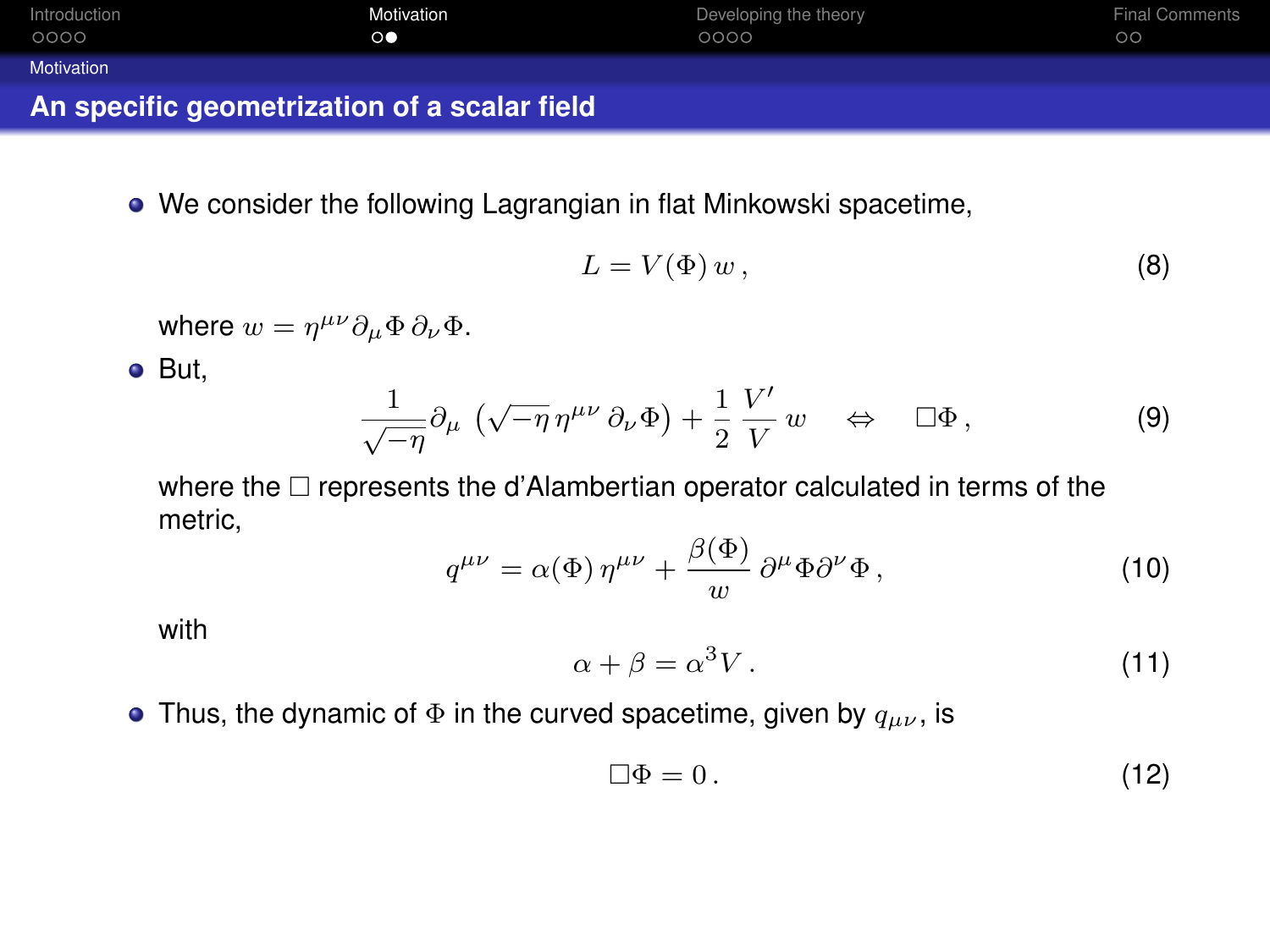<span id="page-24-0"></span>

| An specific geometrization of a scalar field |                 |                       |                       |  |  |
|----------------------------------------------|-----------------|-----------------------|-----------------------|--|--|
| Motivation                                   |                 |                       |                       |  |  |
| 0000                                         | $\circ \bullet$ | 0000                  | $\circ$               |  |  |
| Introduction                                 | Motivation      | Developing the theory | <b>Final Comments</b> |  |  |

We consider the following Lagrangian in flat Minkowski spacetime,

$$
L = V(\Phi) w, \tag{8}
$$

where  $w = \eta^{\mu\nu} \partial_{\mu} \Phi \, \partial_{\nu} \Phi$ .

But,

$$
\frac{1}{\sqrt{-\eta}}\partial_{\mu}(\sqrt{-\eta}\,\eta^{\mu\nu}\,\partial_{\nu}\Phi)+\frac{1}{2}\,\frac{V'}{V}\,w\quad\Leftrightarrow\quad\square\Phi\,,\tag{9}
$$

where the  $\Box$  represents the d'Alambertian operator calculated in terms of the metric,

$$
q^{\mu\nu} = \alpha(\Phi) \,\eta^{\mu\nu} + \frac{\beta(\Phi)}{w} \,\partial^{\mu}\Phi \partial^{\nu}\Phi \,, \tag{10}
$$

with

$$
\alpha + \beta = \alpha^3 V \,. \tag{11}
$$

• Thus, the dynamic of  $\Phi$  in the curved spacetime, given by  $q_{\mu\nu}$ , is

$$
\Box \Phi = 0. \tag{12}
$$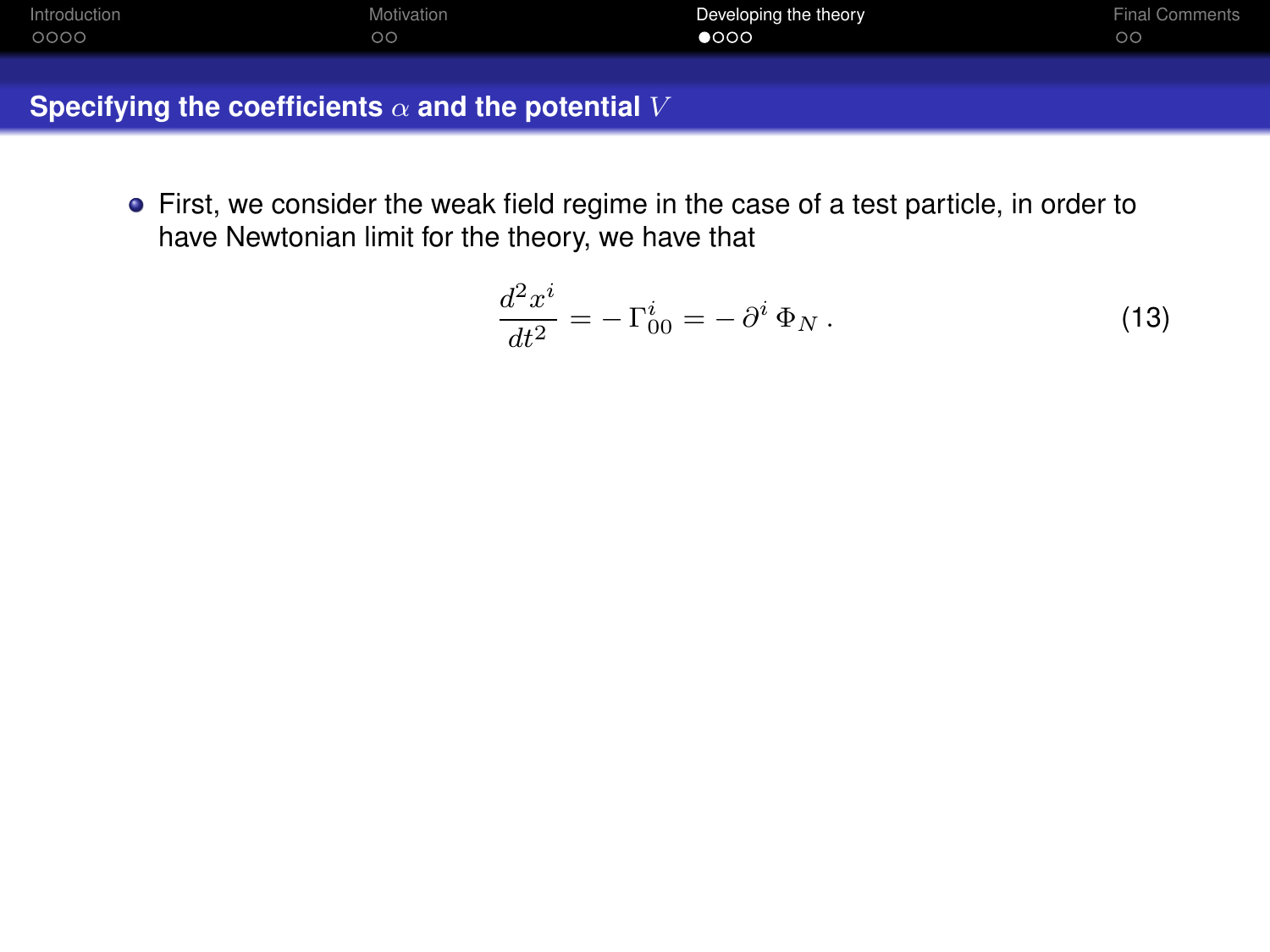<span id="page-25-0"></span>

| Introduction | Motivation | Developing the theory | <b>Final Comments</b> |
|--------------|------------|-----------------------|-----------------------|
| 0000         | $\circ$    | $\bullet$ 000         | oα                    |

First, we consider the weak field regime in the case of a test particle, in order to have Newtonian limit for the theory, we have that

$$
\frac{d^2x^i}{dt^2} = -\Gamma^i_{00} = -\partial^i \Phi_N.
$$
 (13)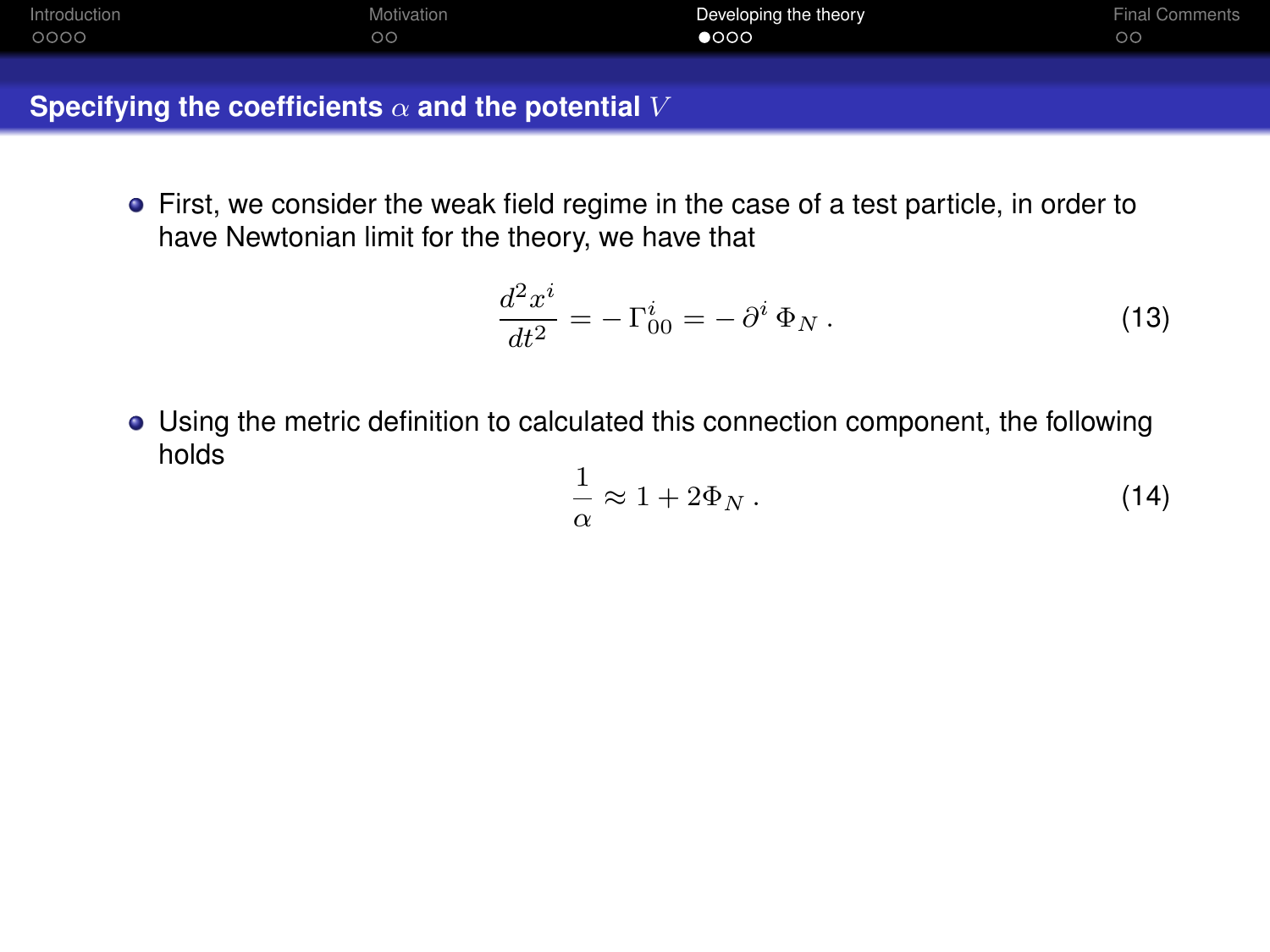| Introduction | Motivation | Developing the theory | Final Comments |
|--------------|------------|-----------------------|----------------|
| 0000         | oс         | 000                   | $\circ$        |

First, we consider the weak field regime in the case of a test particle, in order to have Newtonian limit for the theory, we have that

$$
\frac{d^2x^i}{dt^2} = -\Gamma^i_{00} = -\partial^i \Phi_N.
$$
\n(13)

Using the metric definition to calculated this connection component, the following holds

$$
\frac{1}{\alpha} \approx 1 + 2\Phi_N \,. \tag{14}
$$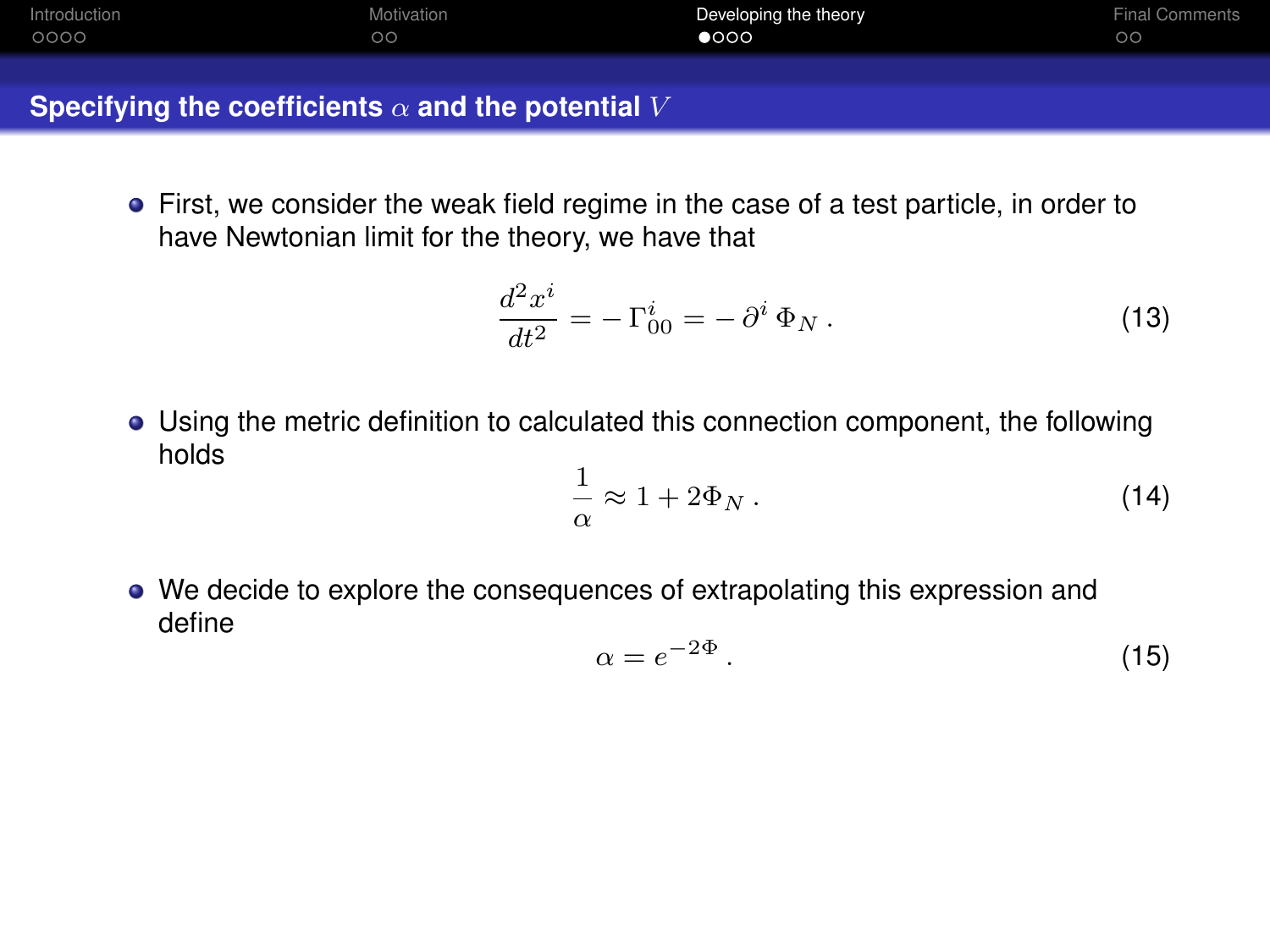| Introduction | Motivation | Developing the theory | Final Comments |
|--------------|------------|-----------------------|----------------|
| 0000         | oс         | 000                   | $\circ$        |

First, we consider the weak field regime in the case of a test particle, in order to have Newtonian limit for the theory, we have that

$$
\frac{d^2x^i}{dt^2} = -\Gamma^i_{00} = -\partial^i \Phi_N.
$$
\n(13)

Using the metric definition to calculated this connection component, the following holds

$$
\frac{1}{\alpha} \approx 1 + 2\Phi_N \,. \tag{14}
$$

We decide to explore the consequences of extrapolating this expression and define

$$
\alpha = e^{-2\Phi} \,. \tag{15}
$$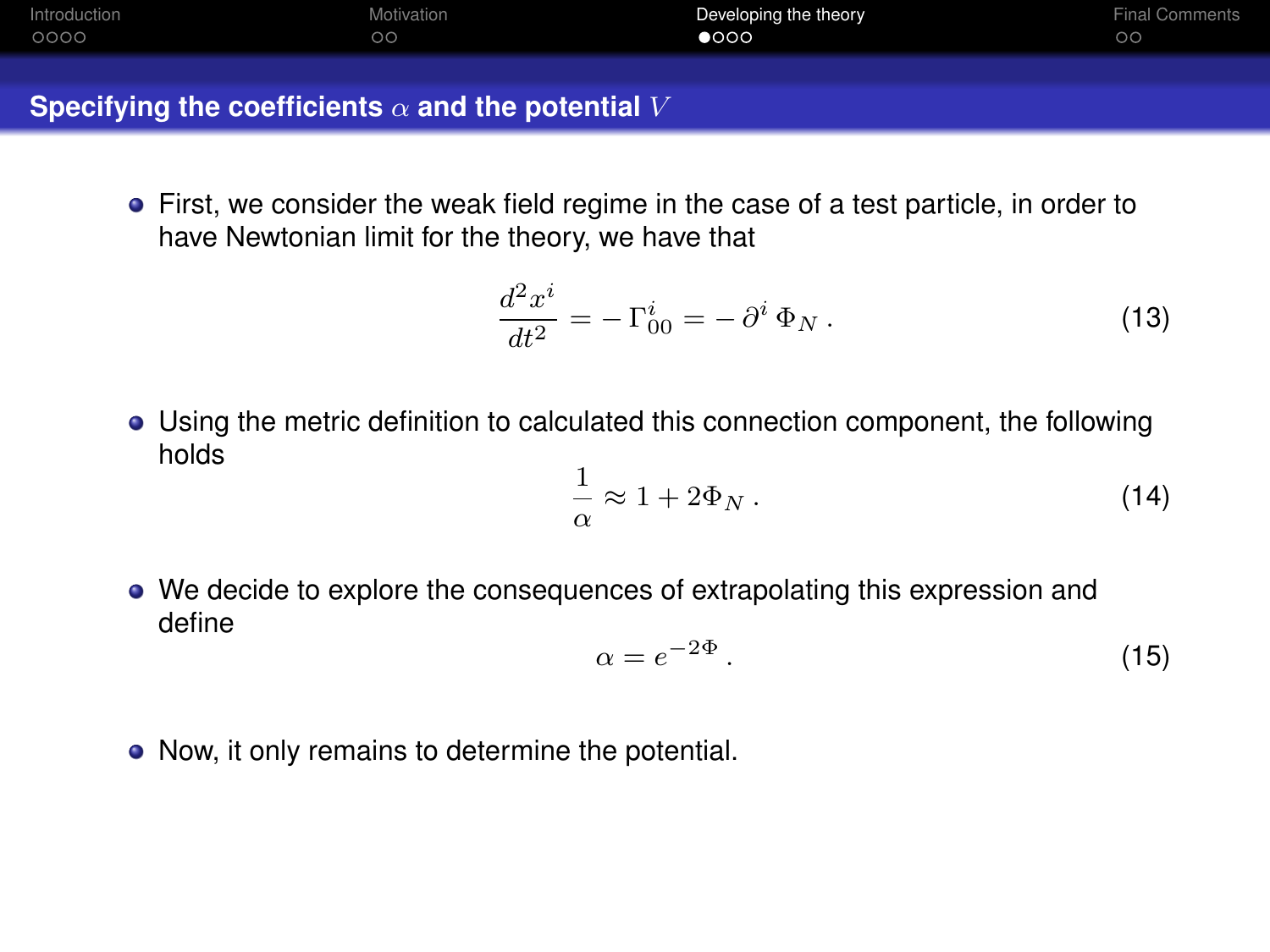| Introduction | Motivation | Developing the theory | Final Comments |
|--------------|------------|-----------------------|----------------|
| 0000         | oс         | 000                   | $\circ$        |

First, we consider the weak field regime in the case of a test particle, in order to have Newtonian limit for the theory, we have that

$$
\frac{d^2x^i}{dt^2} = -\Gamma^i_{00} = -\partial^i \Phi_N.
$$
\n(13)

Using the metric definition to calculated this connection component, the following holds

$$
\frac{1}{\alpha} \approx 1 + 2\Phi_N \,. \tag{14}
$$

We decide to explore the consequences of extrapolating this expression and define

$$
\alpha = e^{-2\Phi} \,. \tag{15}
$$

• Now, it only remains to determine the potential.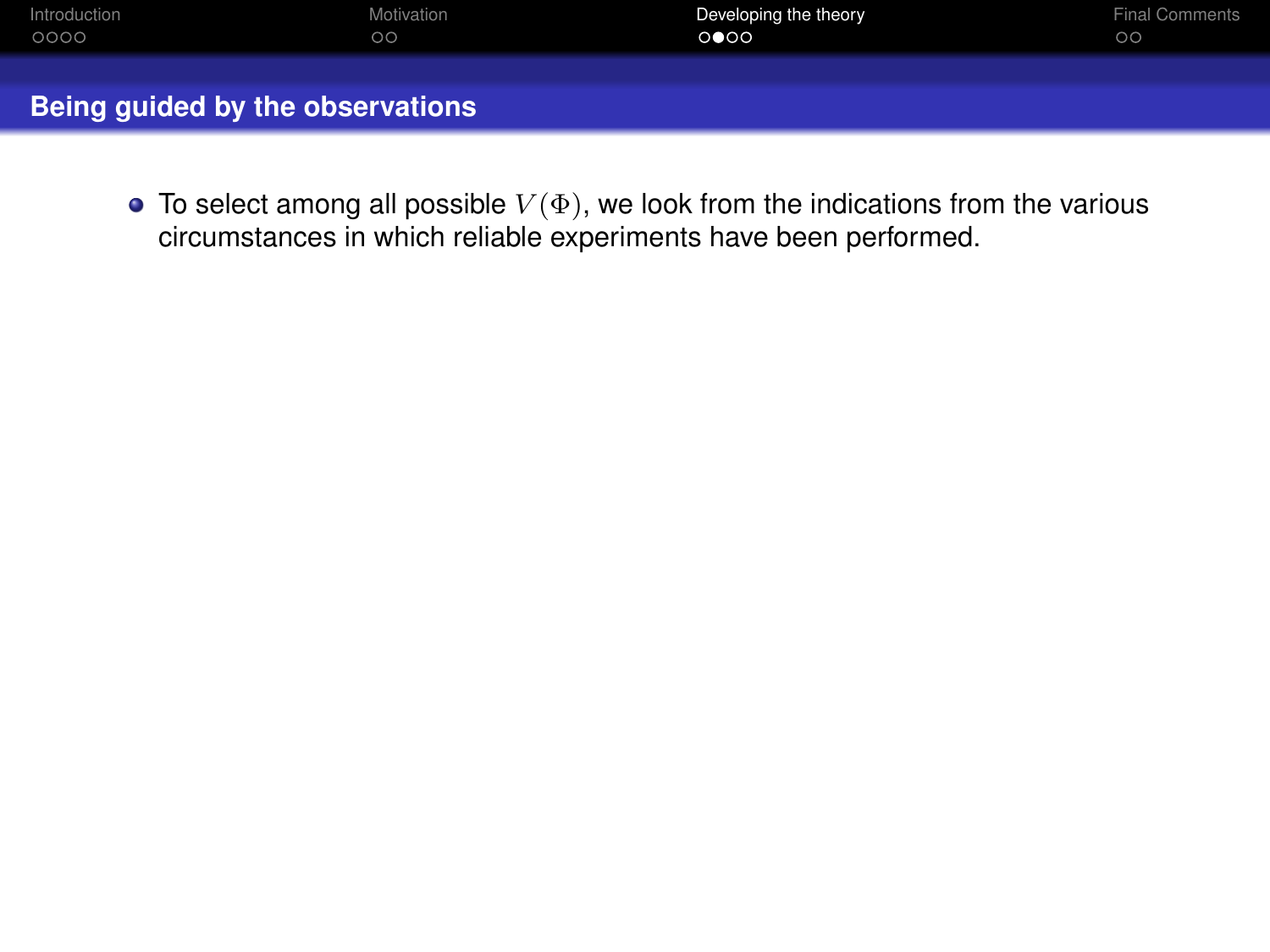| Introduction | Motivation | Developing the theory | <b>Final Comments</b> |
|--------------|------------|-----------------------|-----------------------|
| 0000         | $\circ$    | 0 000                 | $\circ$               |
|              |            |                       |                       |
|              |            |                       |                       |

 $\bullet$  To select among all possible  $V(\Phi)$ , we look from the indications from the various circumstances in which reliable experiments have been performed.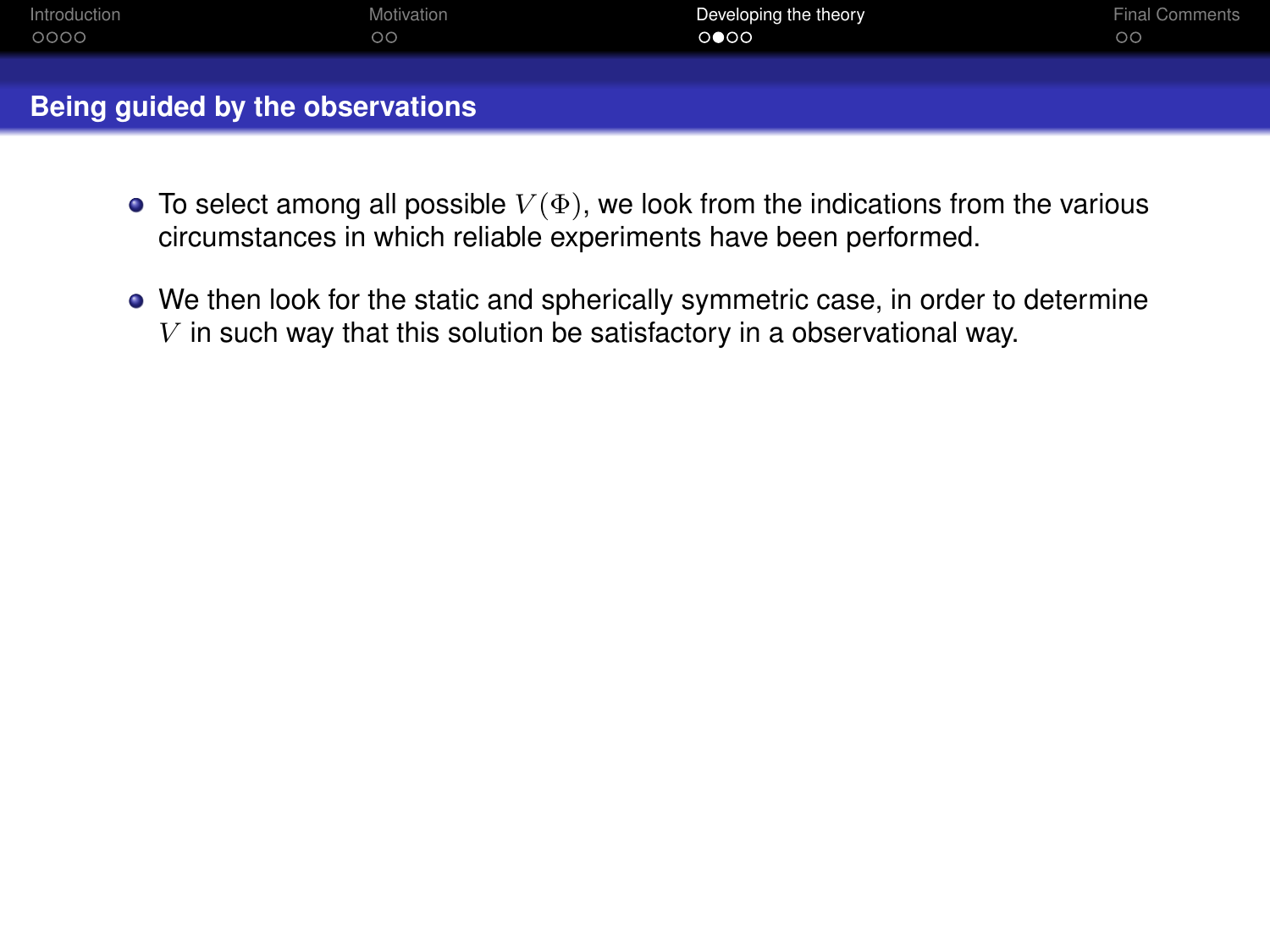| Introduction | Motivation | Developing the theory | <b>Final Comments</b> |
|--------------|------------|-----------------------|-----------------------|
| 0000         | $\circ$    | 0 000                 | $\circ$               |
|              |            |                       |                       |

- $\bullet$  To select among all possible  $V(\Phi)$ , we look from the indications from the various circumstances in which reliable experiments have been performed.
- We then look for the static and spherically symmetric case, in order to determine  $V$  in such way that this solution be satisfactory in a observational way.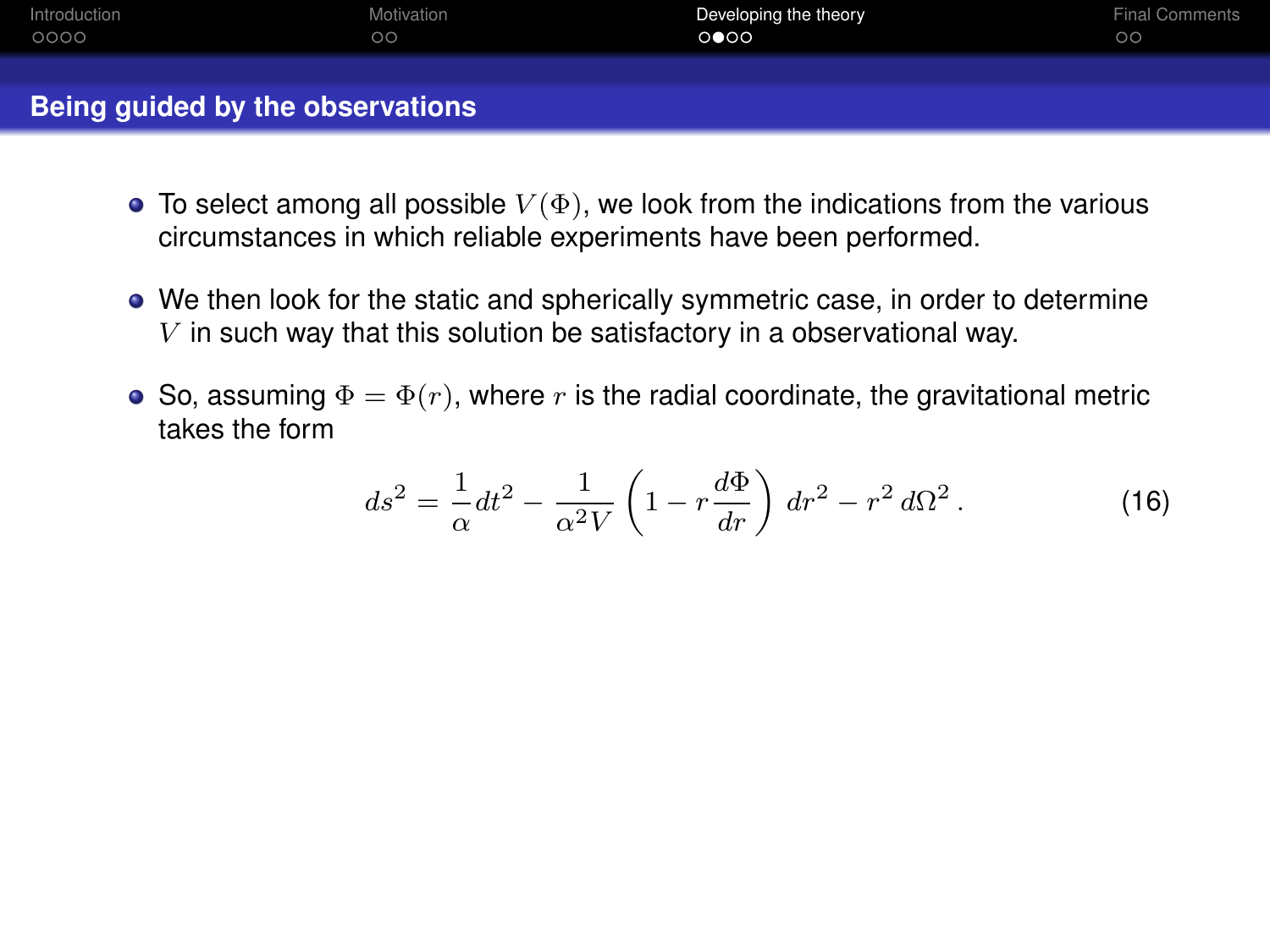| Introduction | Motivation   | Developing the theory | Final Comments |
|--------------|--------------|-----------------------|----------------|
| 0000         | $\circ\circ$ | 0 000                 | $\circ$        |
|              |              |                       |                |

- $\bullet$  To select among all possible  $V(\Phi)$ , we look from the indications from the various circumstances in which reliable experiments have been performed.
- We then look for the static and spherically symmetric case, in order to determine  $V$  in such way that this solution be satisfactory in a observational way.
- So, assuming  $\Phi = \Phi(r)$ , where r is the radial coordinate, the gravitational metric takes the form

$$
ds^2 = \frac{1}{\alpha} dt^2 - \frac{1}{\alpha^2 V} \left( 1 - r \frac{d\Phi}{dr} \right) dr^2 - r^2 d\Omega^2.
$$
 (16)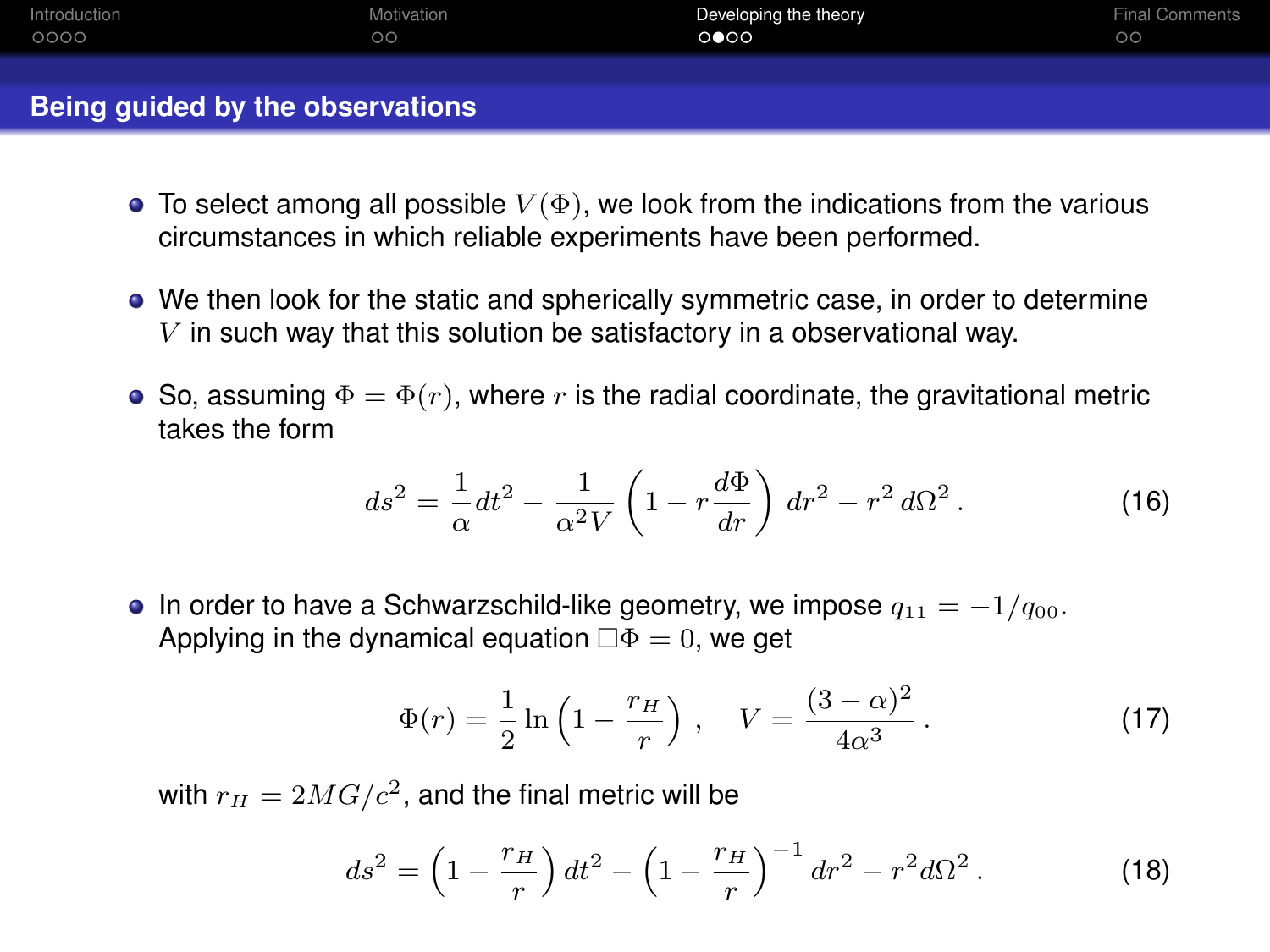| Introduction | Motivation   | Developing the theory | <b>Final Comments</b> |
|--------------|--------------|-----------------------|-----------------------|
| 0000         | $\circ\circ$ | 0 000                 | $\circ$               |
|              |              |                       |                       |

- $\bullet$  To select among all possible  $V(\Phi)$ , we look from the indications from the various circumstances in which reliable experiments have been performed.
- We then look for the static and spherically symmetric case, in order to determine  $V$  in such way that this solution be satisfactory in a observational way.
- So, assuming  $\Phi = \Phi(r)$ , where r is the radial coordinate, the gravitational metric takes the form

$$
ds^{2} = \frac{1}{\alpha}dt^{2} - \frac{1}{\alpha^{2}V} \left(1 - r\frac{d\Phi}{dr}\right) dr^{2} - r^{2} d\Omega^{2}.
$$
 (16)

• In order to have a Schwarzschild-like geometry, we impose  $q_{11} = -1/q_{00}$ . Applying in the dynamical equation  $\Box \Phi = 0$ , we get

$$
\Phi(r) = \frac{1}{2} \ln \left( 1 - \frac{r_H}{r} \right), \quad V = \frac{(3 - \alpha)^2}{4\alpha^3}.
$$
 (17)

with  $r_H = 2MG/c^2$ , and the final metric will be

$$
ds^{2} = \left(1 - \frac{r_{H}}{r}\right)dt^{2} - \left(1 - \frac{r_{H}}{r}\right)^{-1}dr^{2} - r^{2}d\Omega^{2}.
$$
 (18)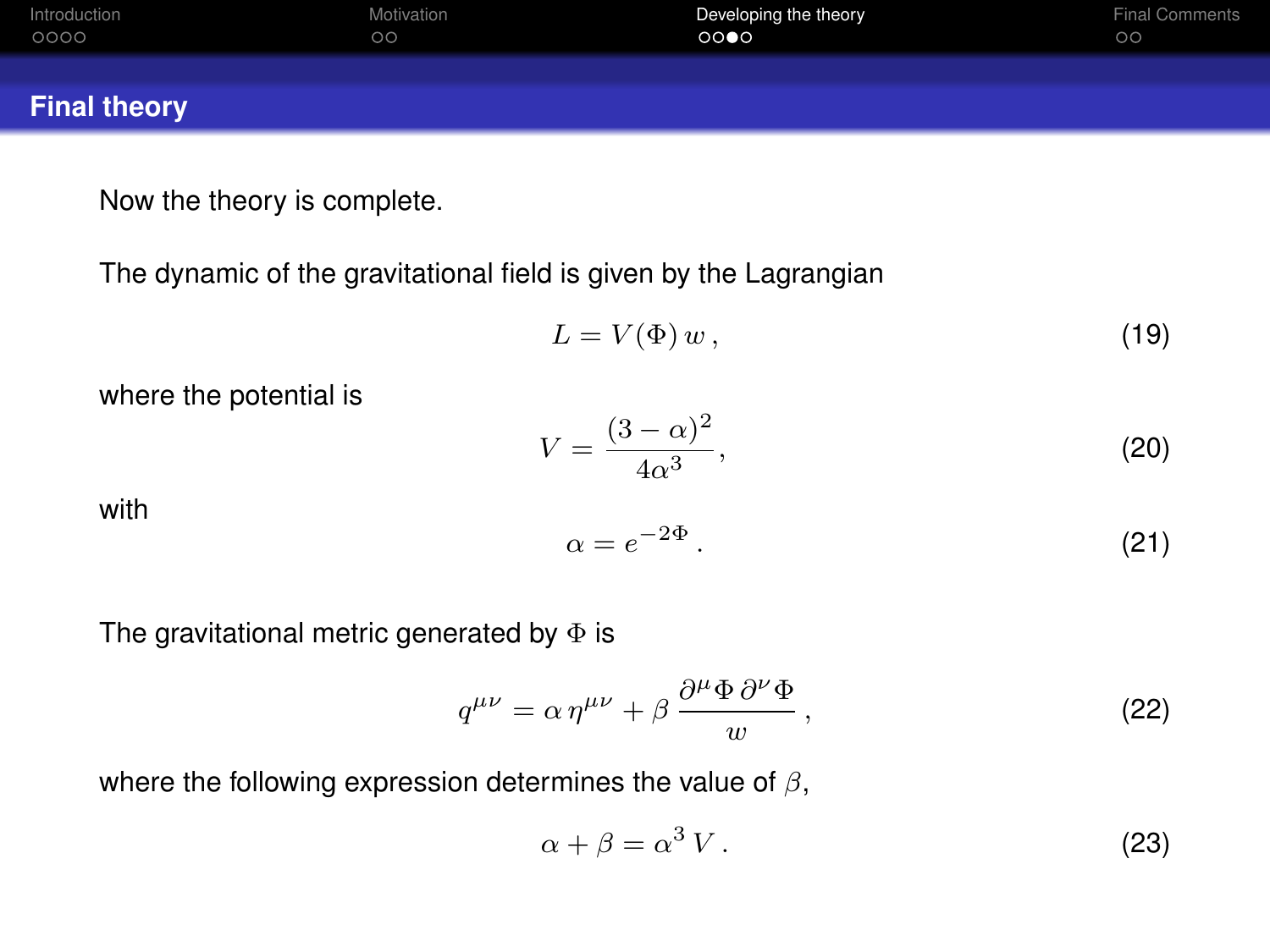| Introduction        | Motivation | Developing the theory | <b>Final Comments</b> |
|---------------------|------------|-----------------------|-----------------------|
| 0000                | $\circ$    | 0000                  | $\circ$               |
| <b>Final theory</b> |            |                       |                       |

Now the theory is complete.

The dynamic of the gravitational field is given by the Lagrangian

$$
L = V(\Phi) w, \tag{19}
$$

where the potential is

$$
V = \frac{(3-\alpha)^2}{4\alpha^3},\tag{20}
$$

with

$$
\alpha = e^{-2\Phi} \,. \tag{21}
$$

The gravitational metric generated by  $\Phi$  is

$$
q^{\mu\nu} = \alpha \eta^{\mu\nu} + \beta \frac{\partial^{\mu} \Phi \partial^{\nu} \Phi}{w}, \qquad (22)
$$

where the following expression determines the value of  $\beta$ ,

$$
\alpha + \beta = \alpha^3 V. \tag{23}
$$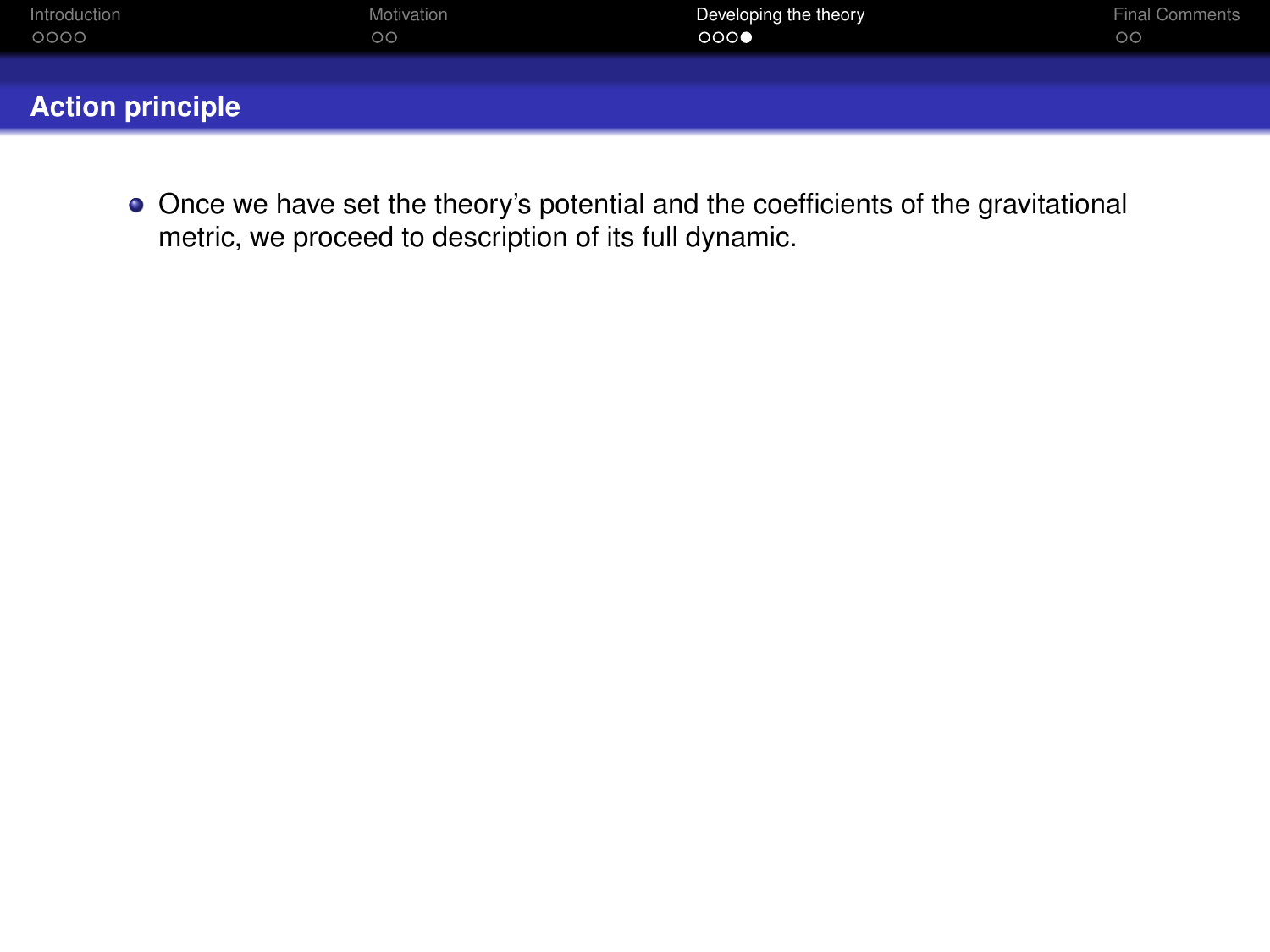| Introduction            | Motivation | Developing the theory | <b>Final Comments</b> |
|-------------------------|------------|-----------------------|-----------------------|
| 0000                    | $\circ$    | 000                   | $\circ$               |
| <b>Action principle</b> |            |                       |                       |

Once we have set the theory's potential and the coefficients of the gravitational metric, we proceed to description of its full dynamic.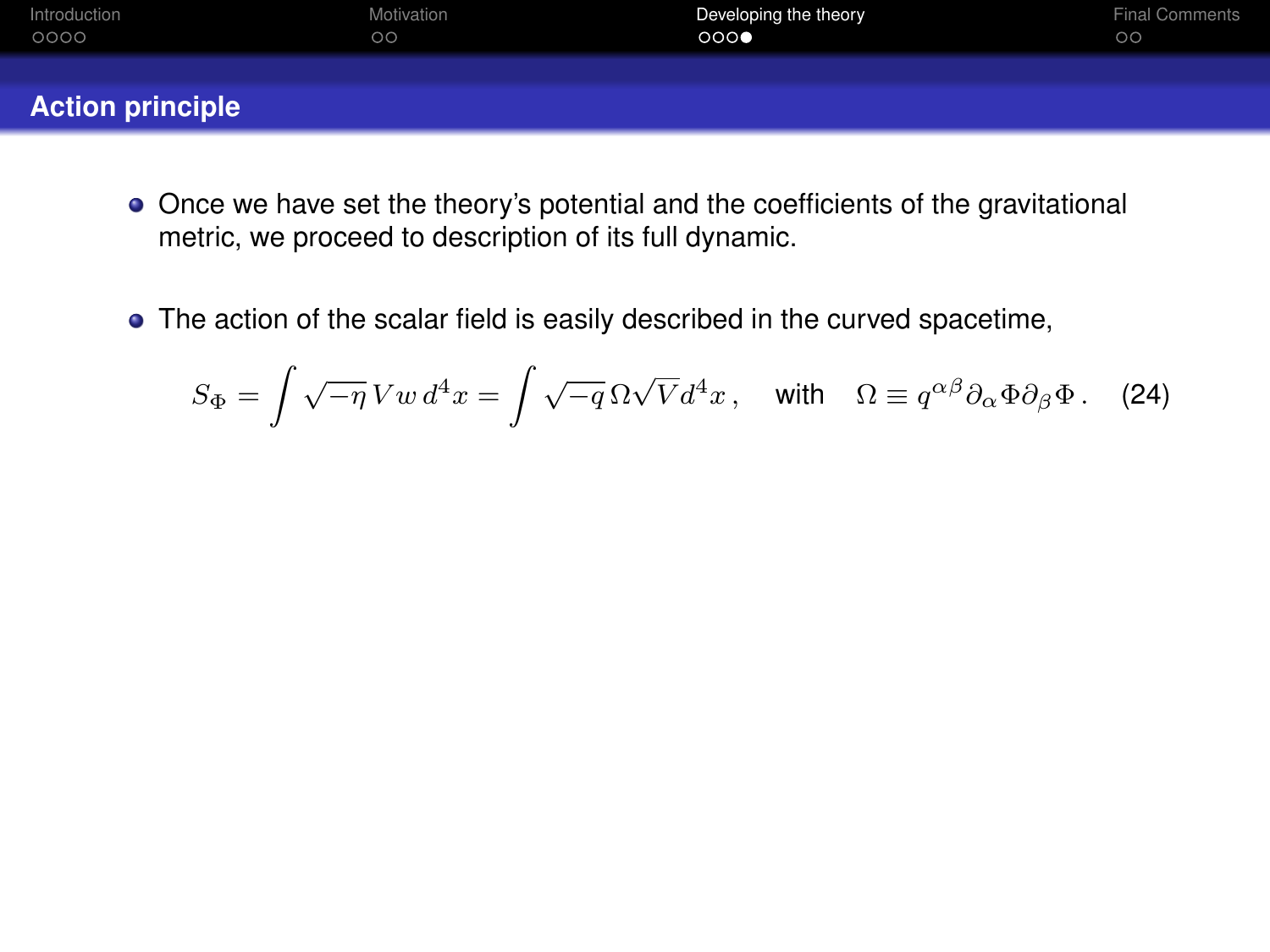| Introduction            | Motivation | Developing the theory | <b>Final Comments</b> |
|-------------------------|------------|-----------------------|-----------------------|
| 0000                    | $\circ$    | 000€                  | $\circ$               |
| <b>Action principle</b> |            |                       |                       |

- Once we have set the theory's potential and the coefficients of the gravitational metric, we proceed to description of its full dynamic.
- The action of the scalar field is easily described in the curved spacetime,

$$
S_{\Phi} = \int \sqrt{-\eta} \, Vw \, d^4x = \int \sqrt{-q} \, \Omega \sqrt{V} d^4x \,, \quad \text{with} \quad \Omega \equiv q^{\alpha \beta} \partial_{\alpha} \Phi \partial_{\beta} \Phi \,. \tag{24}
$$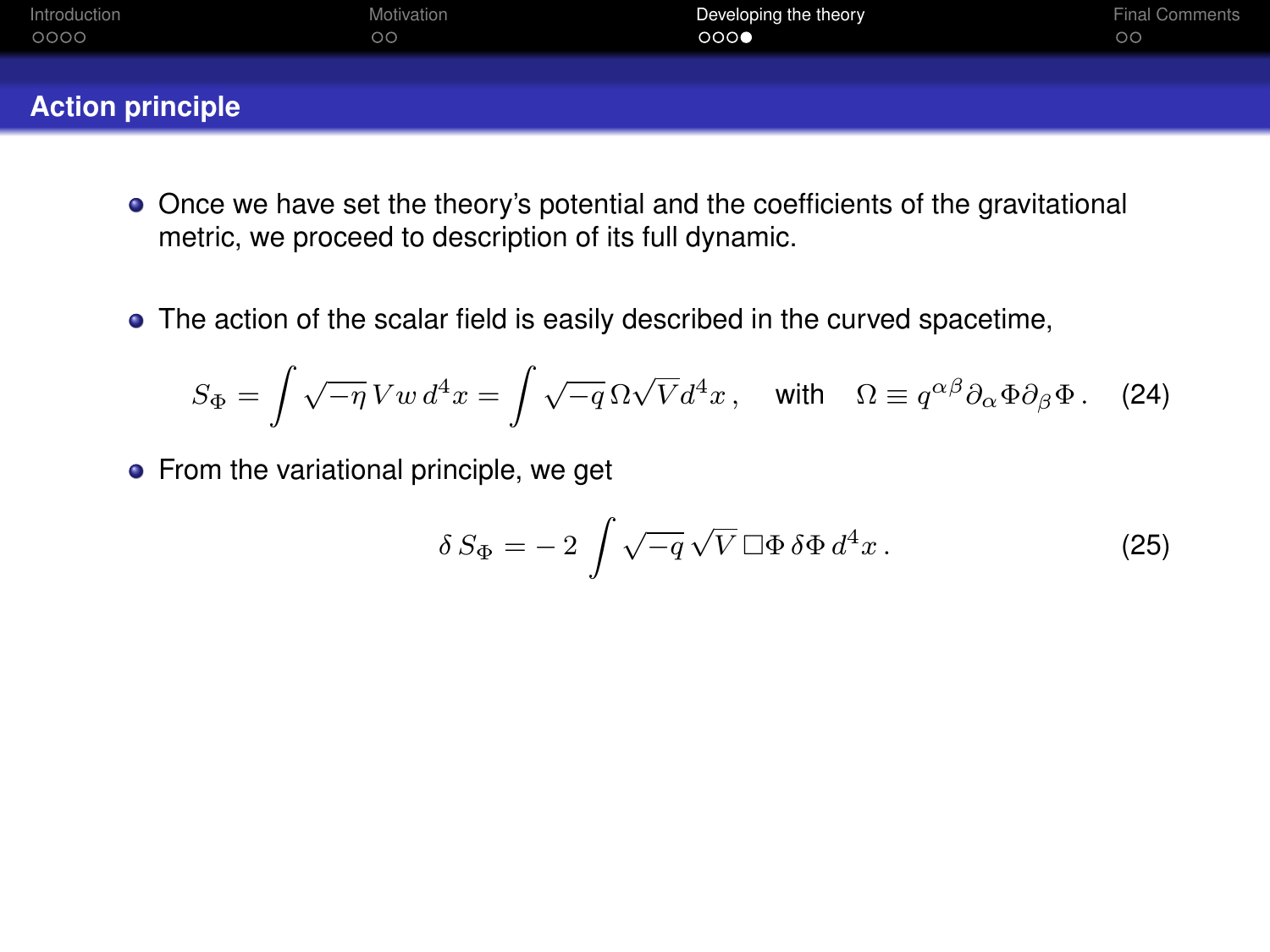| Introduction            | Motivation | Developing the theory | <b>Final Comments</b> |
|-------------------------|------------|-----------------------|-----------------------|
| 0000                    | $\circ$    | 000                   | $\circ$               |
| <b>Action principle</b> |            |                       |                       |

- Once we have set the theory's potential and the coefficients of the gravitational metric, we proceed to description of its full dynamic.
- The action of the scalar field is easily described in the curved spacetime,

$$
S_{\Phi} = \int \sqrt{-\eta} \, Vw \, d^4x = \int \sqrt{-q} \, \Omega \sqrt{V} d^4x \,, \quad \text{with} \quad \Omega \equiv q^{\alpha \beta} \partial_{\alpha} \Phi \partial_{\beta} \Phi \,. \tag{24}
$$

• From the variational principle, we get

$$
\delta S_{\Phi} = -2 \int \sqrt{-q} \sqrt{V} \,\Box \Phi \,\delta \Phi \,d^4 x \,. \tag{25}
$$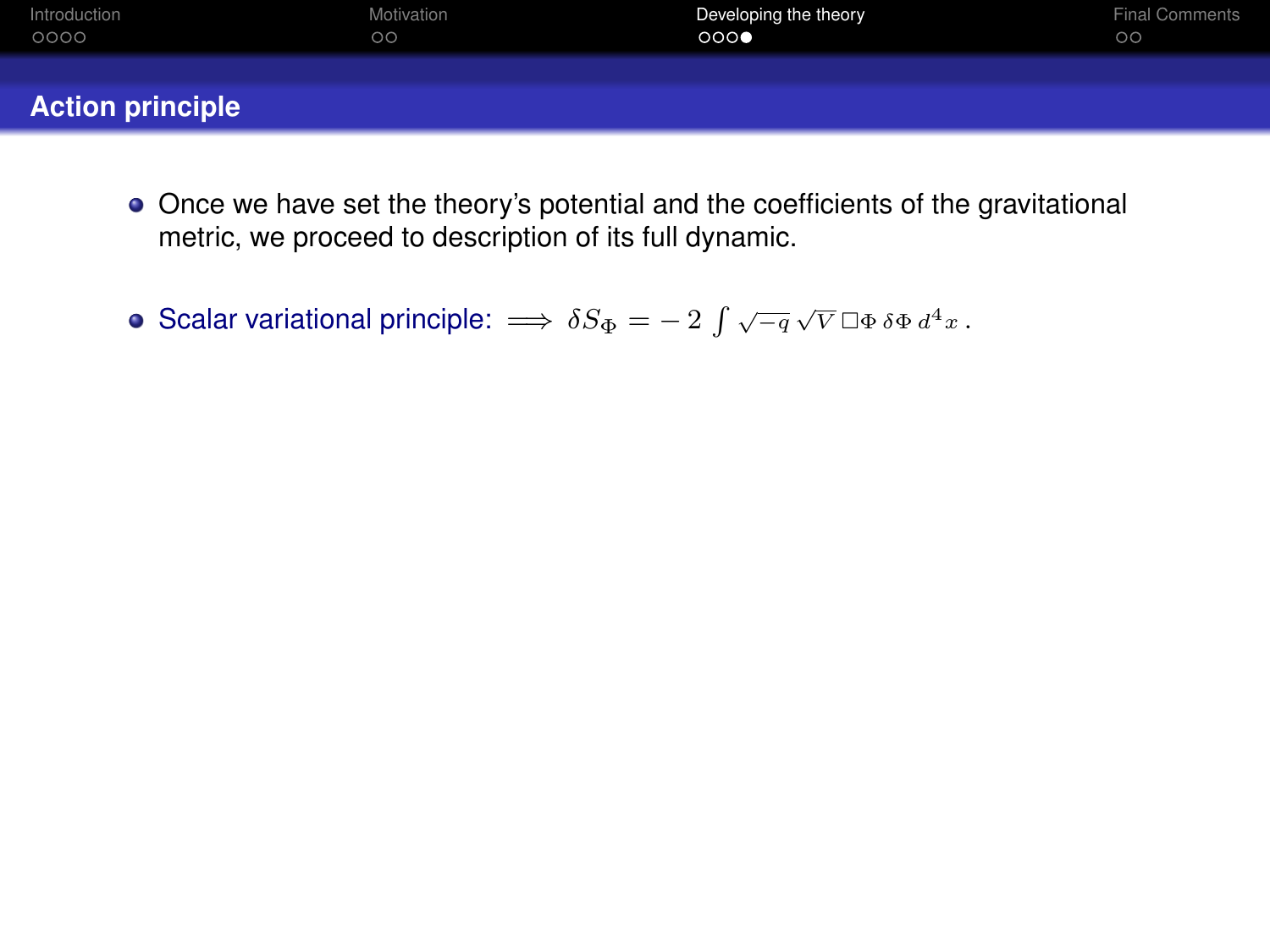| Introduction            | Motivation | Developing the theory | <b>Final Comments</b> |
|-------------------------|------------|-----------------------|-----------------------|
| 0000                    | $\circ$    | 000                   | $\circ$               |
| <b>Action principle</b> |            |                       |                       |

- Once we have set the theory's potential and the coefficients of the gravitational metric, we proceed to description of its full dynamic.
- Scalar variational principle:  $\implies \delta S_{\Phi} = -2 \int \sqrt{-q} \sqrt{V} \, \Box \Phi \, \delta \Phi \, d^4 x$ .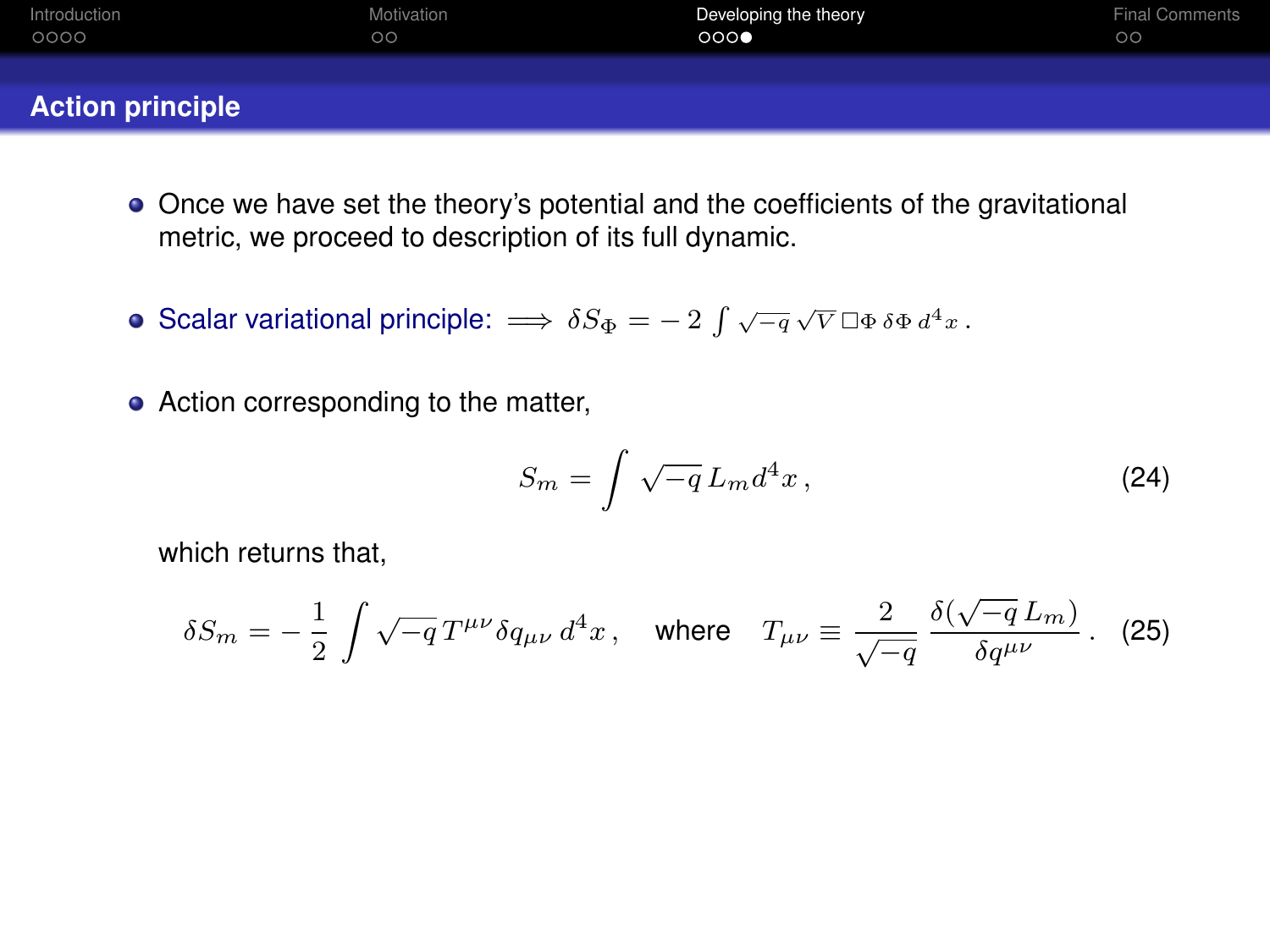| Introduction            | Motivation | Developing the theory | <b>Final Comments</b> |
|-------------------------|------------|-----------------------|-----------------------|
| 0000                    | $\circ$    | 000                   | $\circ$               |
| <b>Action principle</b> |            |                       |                       |

- Once we have set the theory's potential and the coefficients of the gravitational metric, we proceed to description of its full dynamic.
- Scalar variational principle:  $\implies \delta S_{\Phi} = -2 \int \sqrt{-q} \sqrt{V} \, \Box \Phi \, \delta \Phi \, d^4 x$ .
- Action corresponding to the matter,

$$
S_m = \int \sqrt{-q} L_m d^4 x \,, \tag{24}
$$

which returns that,

$$
\delta S_m = -\,\frac{1}{2}\,\int \sqrt{-q}\,T^{\mu\nu}\delta q_{\mu\nu}\,d^4x\,,\quad \text{where}\quad T_{\mu\nu} \equiv \frac{2}{\sqrt{-q}}\,\frac{\delta(\sqrt{-q}\,L_m)}{\delta q^{\mu\nu}}\,. \tag{25}
$$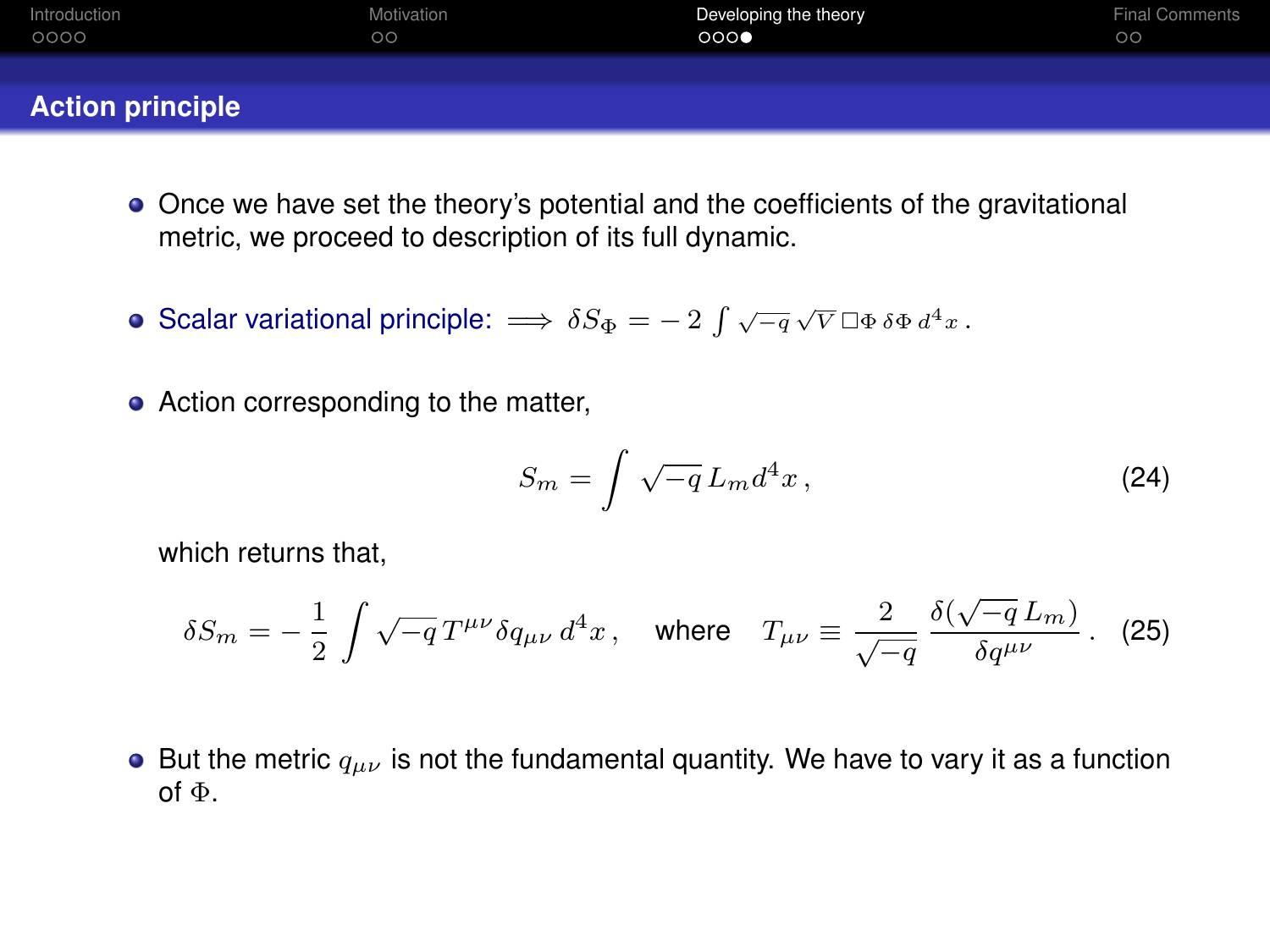| Introduction            | Motivation | Developing the theory | <b>Final Comments</b> |
|-------------------------|------------|-----------------------|-----------------------|
| 0000                    | $\circ$    | 000                   | $\circ$               |
| <b>Action principle</b> |            |                       |                       |

- Once we have set the theory's potential and the coefficients of the gravitational metric, we proceed to description of its full dynamic.
- Scalar variational principle:  $\implies \delta S_{\Phi} = -2 \int \sqrt{-q} \sqrt{V} \, \Box \Phi \, \delta \Phi \, d^4 x$ .
- Action corresponding to the matter,

$$
S_m = \int \sqrt{-q} L_m d^4 x \,, \tag{24}
$$

which returns that,

$$
\delta S_m = -\,\frac{1}{2}\,\int \sqrt{-q}\,T^{\mu\nu}\delta q_{\mu\nu}\,d^4x\,,\quad \text{where}\quad T_{\mu\nu} \equiv \frac{2}{\sqrt{-q}}\,\frac{\delta(\sqrt{-q}\,L_m)}{\delta q^{\mu\nu}}\,. \tag{25}
$$

• But the metric  $q_{\mu\nu}$  is not the fundamental quantity. We have to vary it as a function of Φ.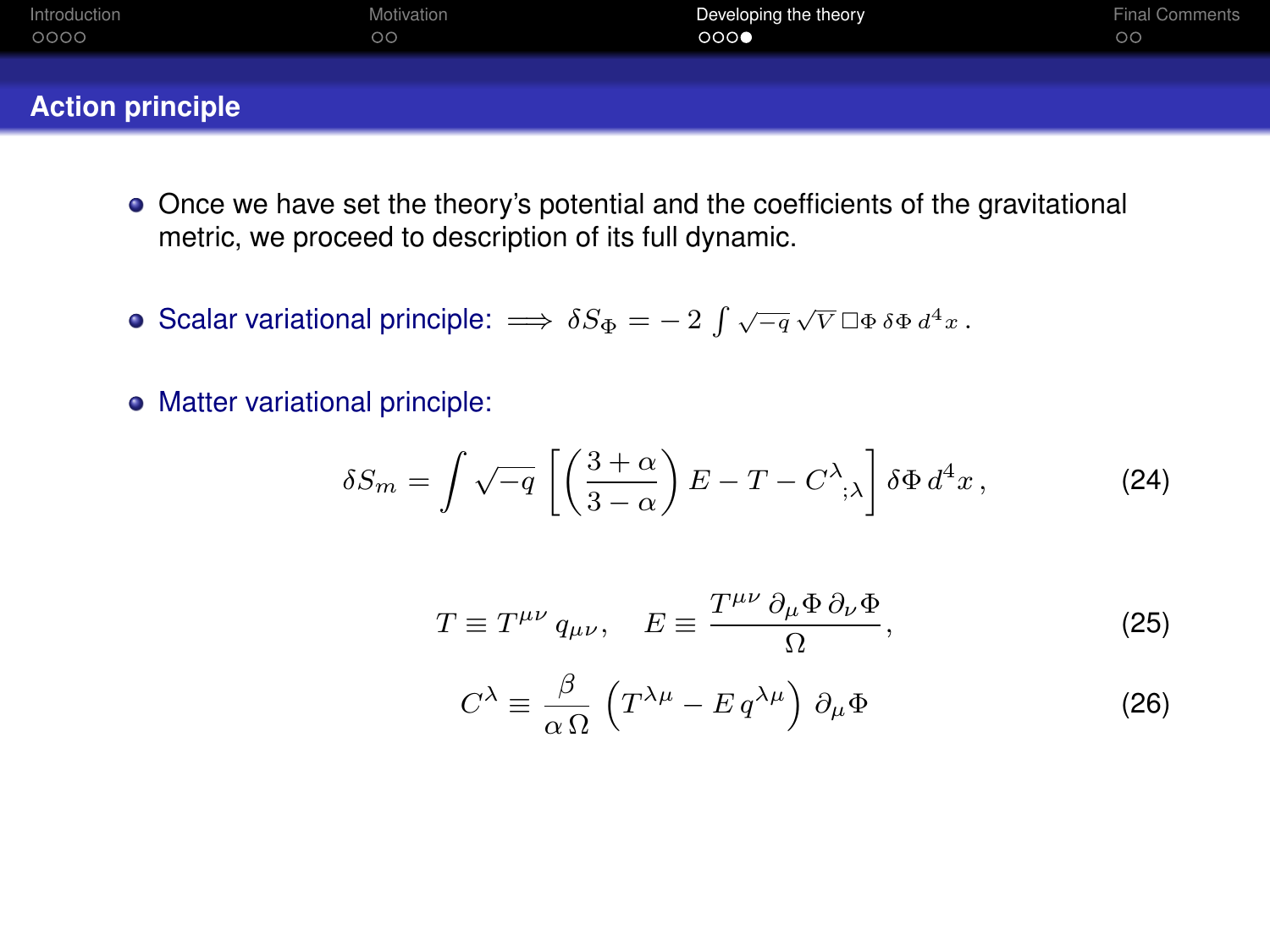| Introduction            | Motivation | Developing the theory | <b>Final Comments</b> |
|-------------------------|------------|-----------------------|-----------------------|
| 0000                    | $\circ$    | 000                   | $\circ$               |
| <b>Action principle</b> |            |                       |                       |

- Once we have set the theory's potential and the coefficients of the gravitational metric, we proceed to description of its full dynamic.
- Scalar variational principle:  $\implies \delta S_{\Phi} = -2 \int \sqrt{-q} \sqrt{V} \, \Box \Phi \, \delta \Phi \, d^4 x$ .
- Matter variational principle:

$$
\delta S_m = \int \sqrt{-q} \left[ \left( \frac{3+\alpha}{3-\alpha} \right) E - T - C^{\lambda}, \lambda \right] \delta \Phi d^4 x, \tag{24}
$$

$$
T \equiv T^{\mu\nu} q_{\mu\nu}, \quad E \equiv \frac{T^{\mu\nu} \partial_{\mu} \Phi \partial_{\nu} \Phi}{\Omega}, \tag{25}
$$

$$
C^{\lambda} \equiv \frac{\beta}{\alpha \,\Omega} \left( T^{\lambda \mu} - E \, q^{\lambda \mu} \right) \, \partial_{\mu} \Phi \tag{26}
$$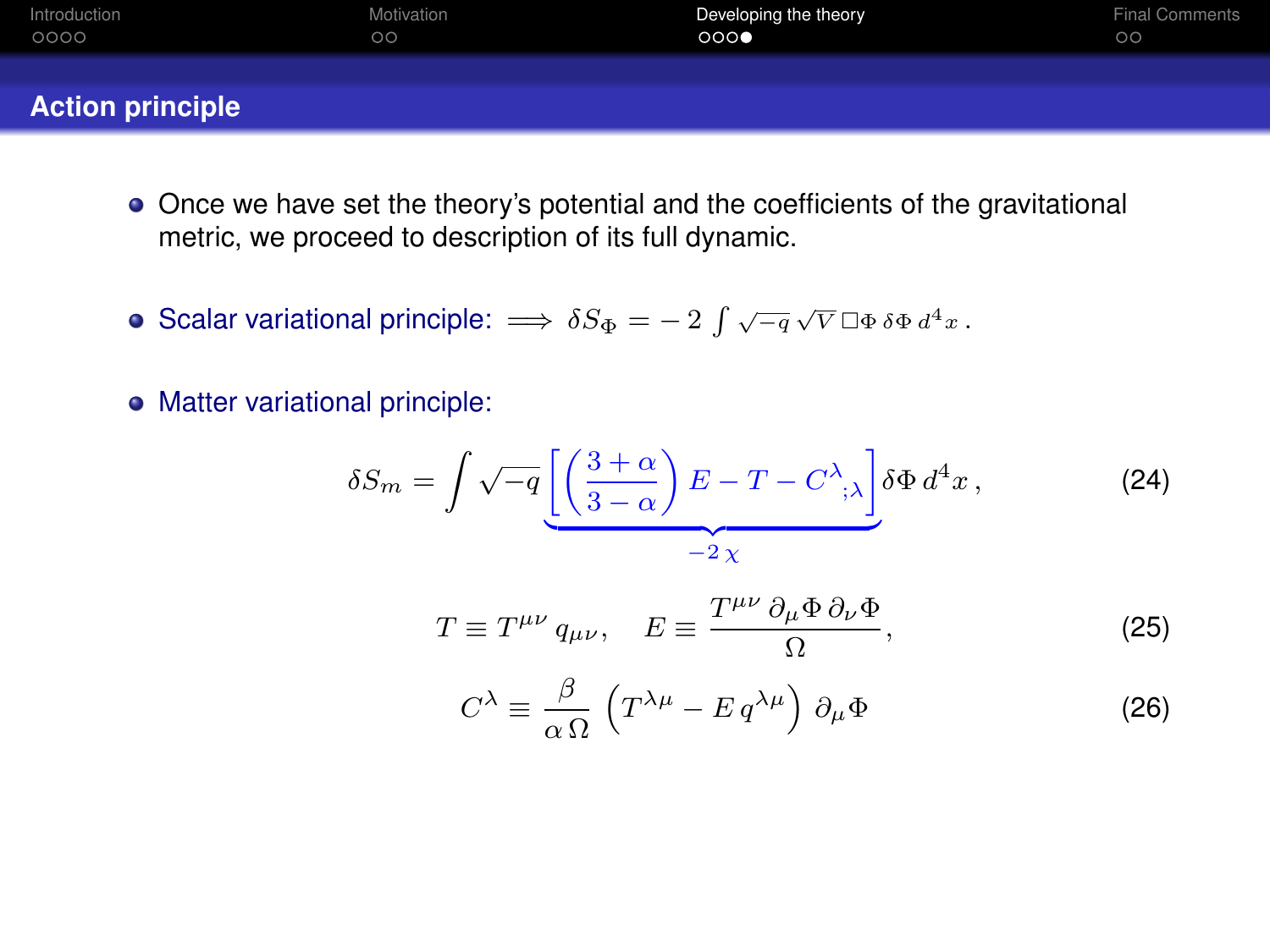| Introduction            | Motivation | Developing the theory | <b>Final Comments</b> |
|-------------------------|------------|-----------------------|-----------------------|
| 0000                    | $\circ$    | 000                   | $\circ$               |
| <b>Action principle</b> |            |                       |                       |

- Once we have set the theory's potential and the coefficients of the gravitational metric, we proceed to description of its full dynamic.
- Scalar variational principle:  $\implies \delta S_{\Phi} = -2 \int \sqrt{-q} \sqrt{V} \, \Box \Phi \, \delta \Phi \, d^4 x$ .
- Matter variational principle:

$$
\delta S_m = \int \sqrt{-q} \underbrace{\left[ \left( \frac{3+\alpha}{3-\alpha} \right) E - T - C^{\lambda}; \lambda \right]}_{-2\,\chi} \delta \Phi \, d^4 x \,, \tag{24}
$$

$$
T \equiv T^{\mu\nu} q_{\mu\nu}, \quad E \equiv \frac{T^{\mu\nu} \partial_{\mu} \Phi \partial_{\nu} \Phi}{\Omega}, \tag{25}
$$

$$
C^{\lambda} \equiv \frac{\beta}{\alpha \,\Omega} \left( T^{\lambda \mu} - E \, q^{\lambda \mu} \right) \, \partial_{\mu} \Phi \tag{26}
$$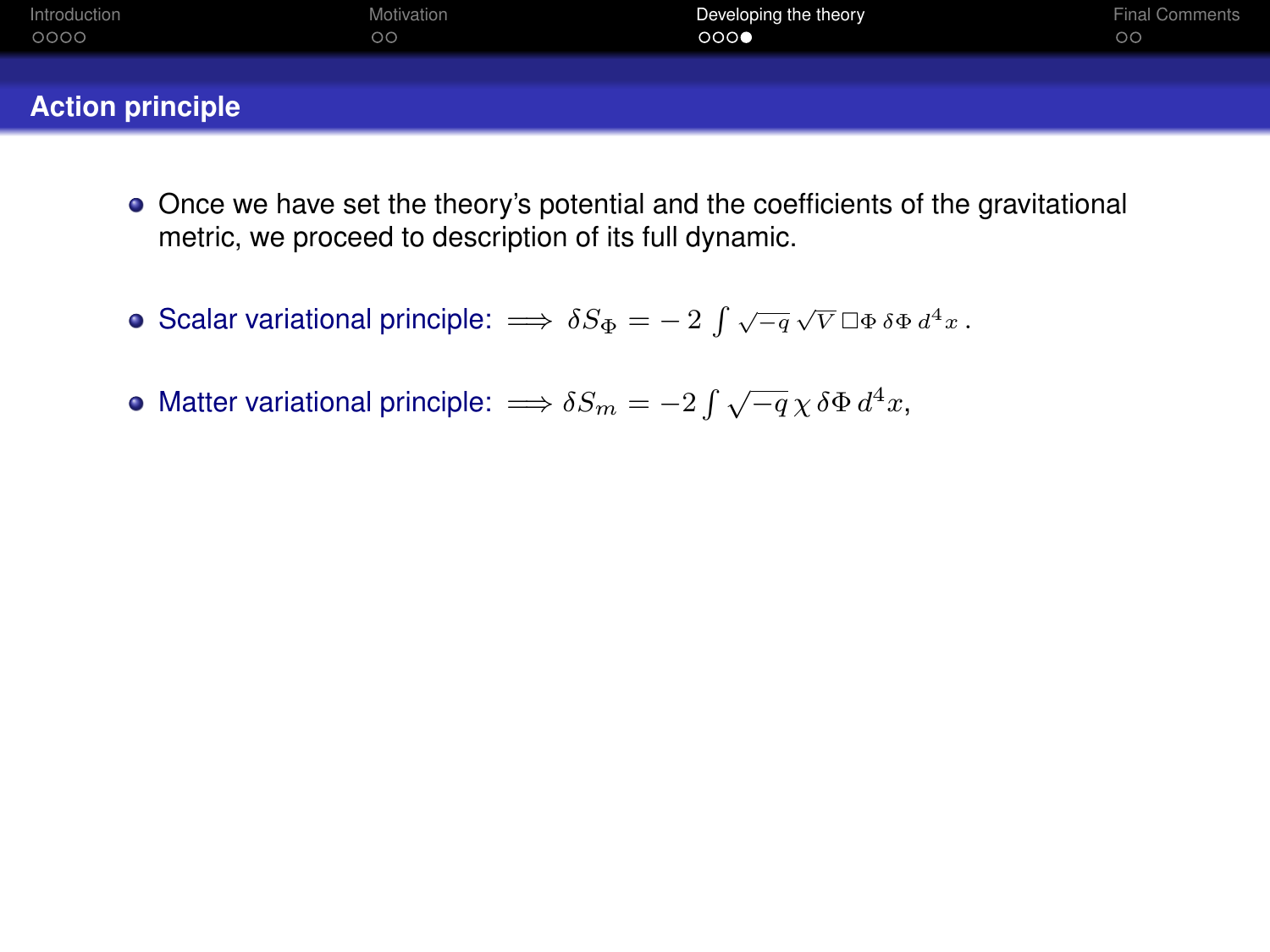| Introduction            | Motivation | Developing the theory | <b>Final Comments</b> |
|-------------------------|------------|-----------------------|-----------------------|
| 0000                    | $\circ$    | 000                   | $\circ$               |
| <b>Action principle</b> |            |                       |                       |

- Once we have set the theory's potential and the coefficients of the gravitational metric, we proceed to description of its full dynamic.
- Scalar variational principle:  $\implies \delta S_{\Phi} = -2 \int \sqrt{-q} \sqrt{V} \, \Box \Phi \, \delta \Phi \, d^4 x$ .
- Matter variational principle:  $\Longrightarrow \delta S_m = -2\int \sqrt{-q}\,\chi\,\delta\Phi\,d^4x,$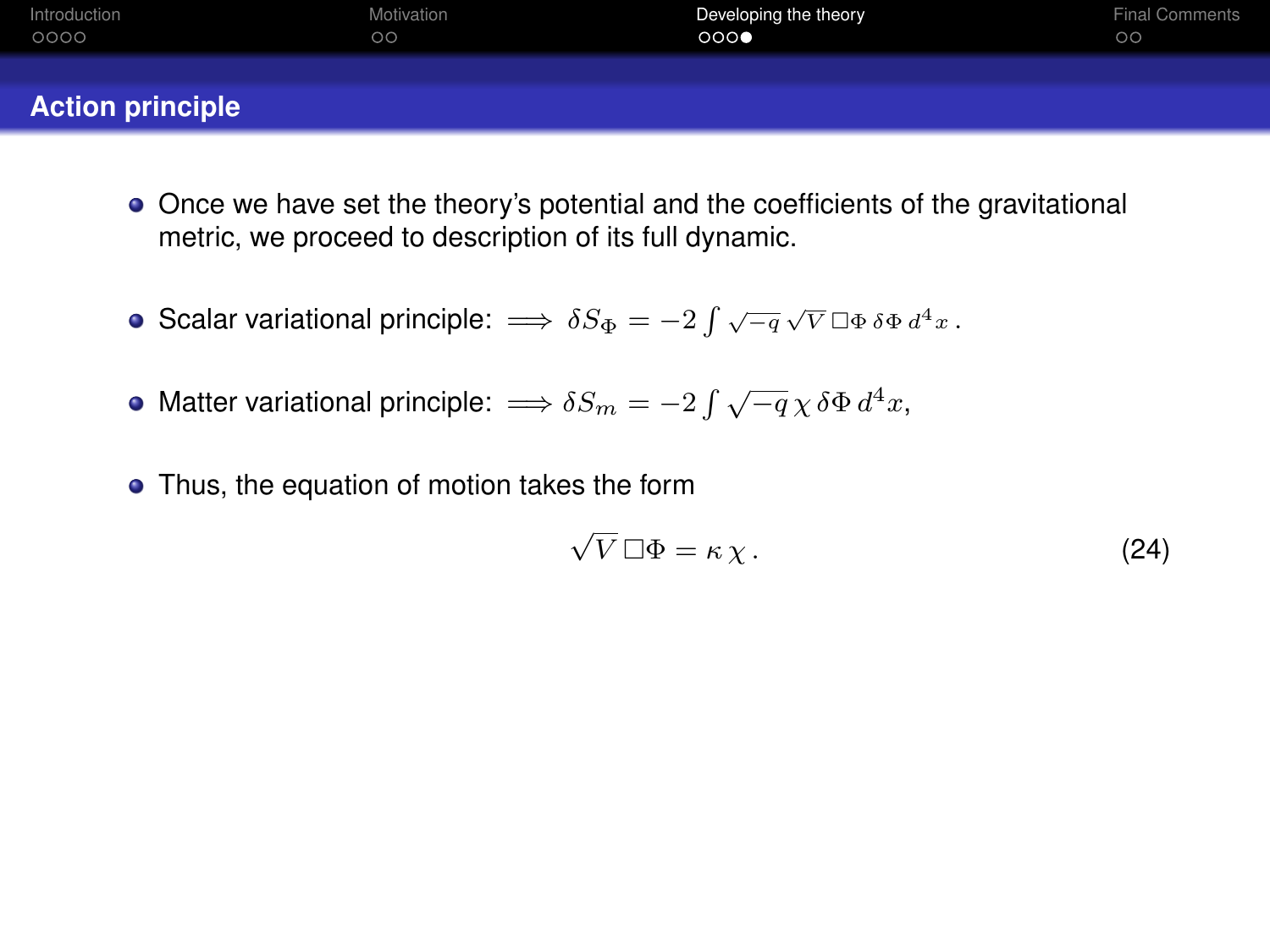| Introduction            | Motivation | Developing the theory | <b>Final Comments</b> |
|-------------------------|------------|-----------------------|-----------------------|
| 0000                    | $\circ$    | 000                   | $\circ$               |
| <b>Action principle</b> |            |                       |                       |

- Once we have set the theory's potential and the coefficients of the gravitational metric, we proceed to description of its full dynamic.
- Scalar variational principle:  $\implies \delta S_{\Phi} = -2 \int \sqrt{-q} \sqrt{V} \, \Box \Phi \, \delta \Phi \, d^4 x$ .
- Matter variational principle:  $\Longrightarrow \delta S_m = -2\int \sqrt{-q}\,\chi\,\delta\Phi\,d^4x,$
- Thus, the equation of motion takes the form

$$
\sqrt{V} \Box \Phi = \kappa \chi. \tag{24}
$$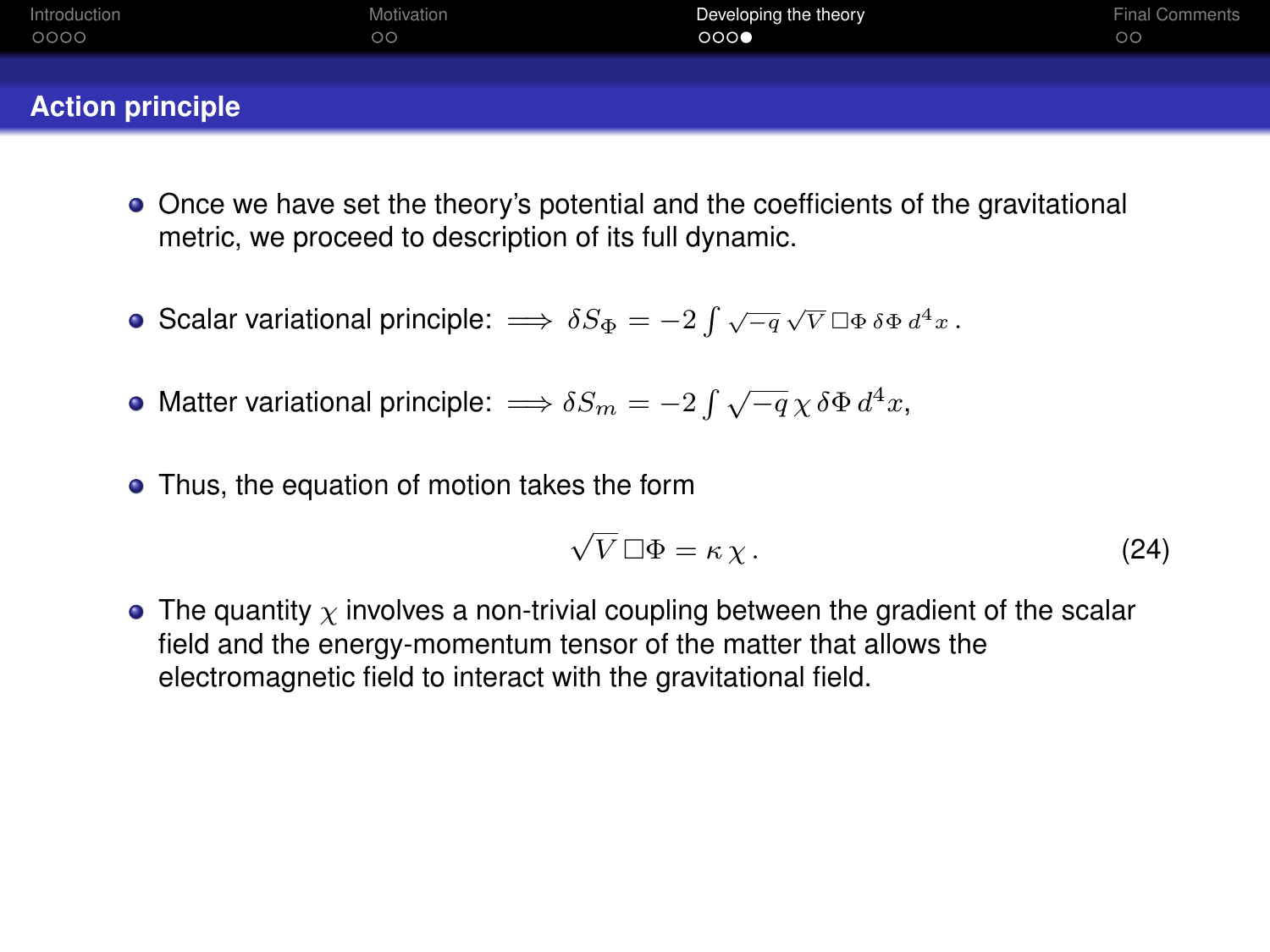| Introduction            | Motivation | Developing the theory | <b>Final Comments</b> |
|-------------------------|------------|-----------------------|-----------------------|
| 0000                    | $\circ$    | 000                   | $\circ$               |
| <b>Action principle</b> |            |                       |                       |

- Once we have set the theory's potential and the coefficients of the gravitational metric, we proceed to description of its full dynamic.
- Scalar variational principle:  $\implies \delta S_{\Phi} = -2 \int \sqrt{-q} \sqrt{V} \, \Box \Phi \, \delta \Phi \, d^4 x$ .
- Matter variational principle:  $\Longrightarrow \delta S_m = -2\int \sqrt{-q}\,\chi\,\delta\Phi\,d^4x,$
- Thus, the equation of motion takes the form

$$
\sqrt{V} \Box \Phi = \kappa \chi. \tag{24}
$$

• The quantity  $\chi$  involves a non-trivial coupling between the gradient of the scalar field and the energy-momentum tensor of the matter that allows the electromagnetic field to interact with the gravitational field.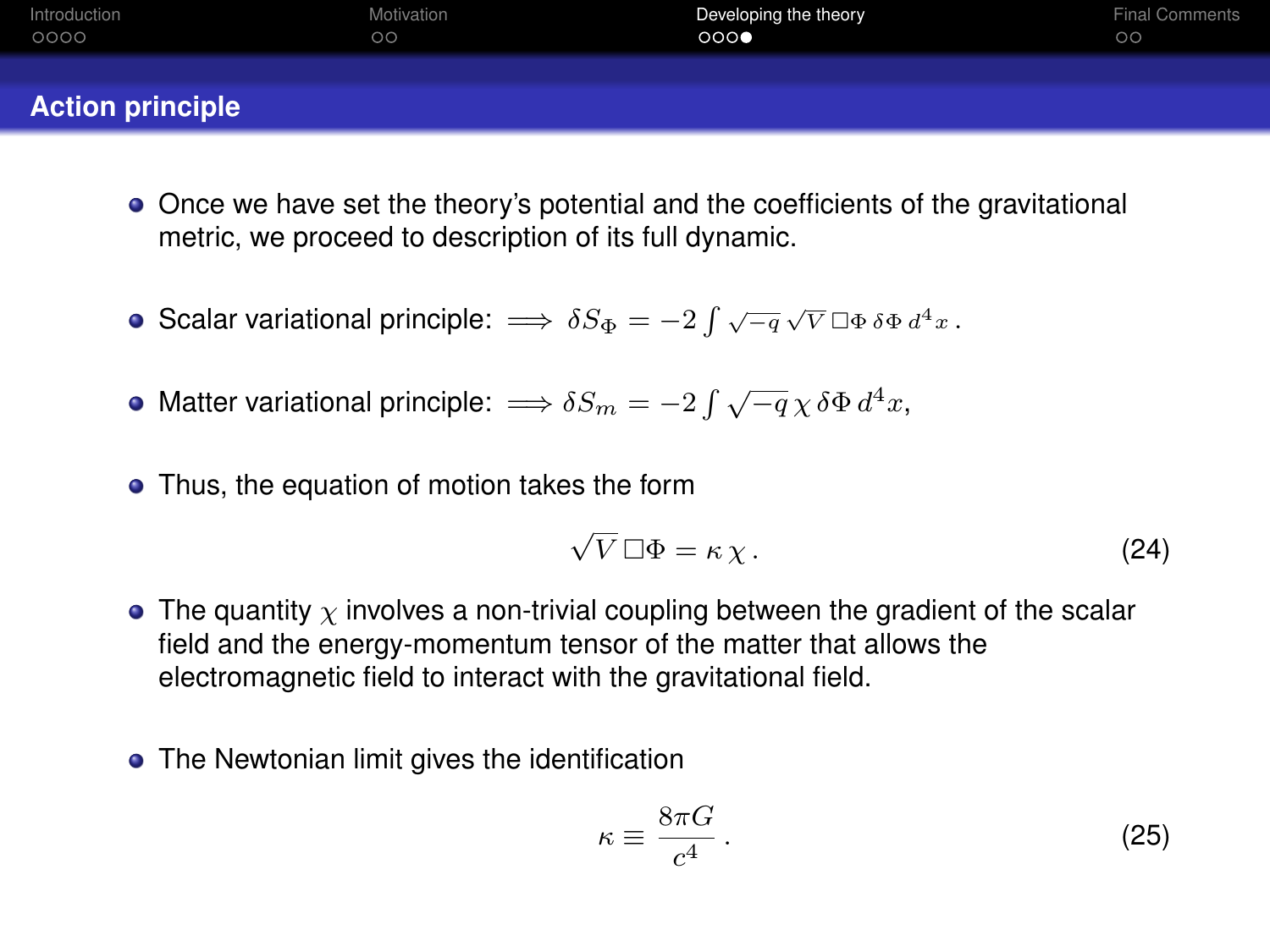| Introduction            | Motivation | Developing the theory | <b>Final Comments</b> |
|-------------------------|------------|-----------------------|-----------------------|
| 0000                    | $\circ$    | 000                   | $\circ$               |
| <b>Action principle</b> |            |                       |                       |

- Once we have set the theory's potential and the coefficients of the gravitational metric, we proceed to description of its full dynamic.
- Scalar variational principle:  $\implies \delta S_{\Phi} = -2 \int \sqrt{-q} \sqrt{V} \, \Box \Phi \, \delta \Phi \, d^4 x$ .
- Matter variational principle:  $\Longrightarrow \delta S_m = -2\int \sqrt{-q}\,\chi\,\delta\Phi\,d^4x,$
- Thus, the equation of motion takes the form

$$
\sqrt{V} \Box \Phi = \kappa \chi. \tag{24}
$$

- The quantity  $\chi$  involves a non-trivial coupling between the gradient of the scalar field and the energy-momentum tensor of the matter that allows the electromagnetic field to interact with the gravitational field.
- The Newtonian limit gives the identification

$$
\kappa \equiv \frac{8\pi G}{c^4} \,. \tag{25}
$$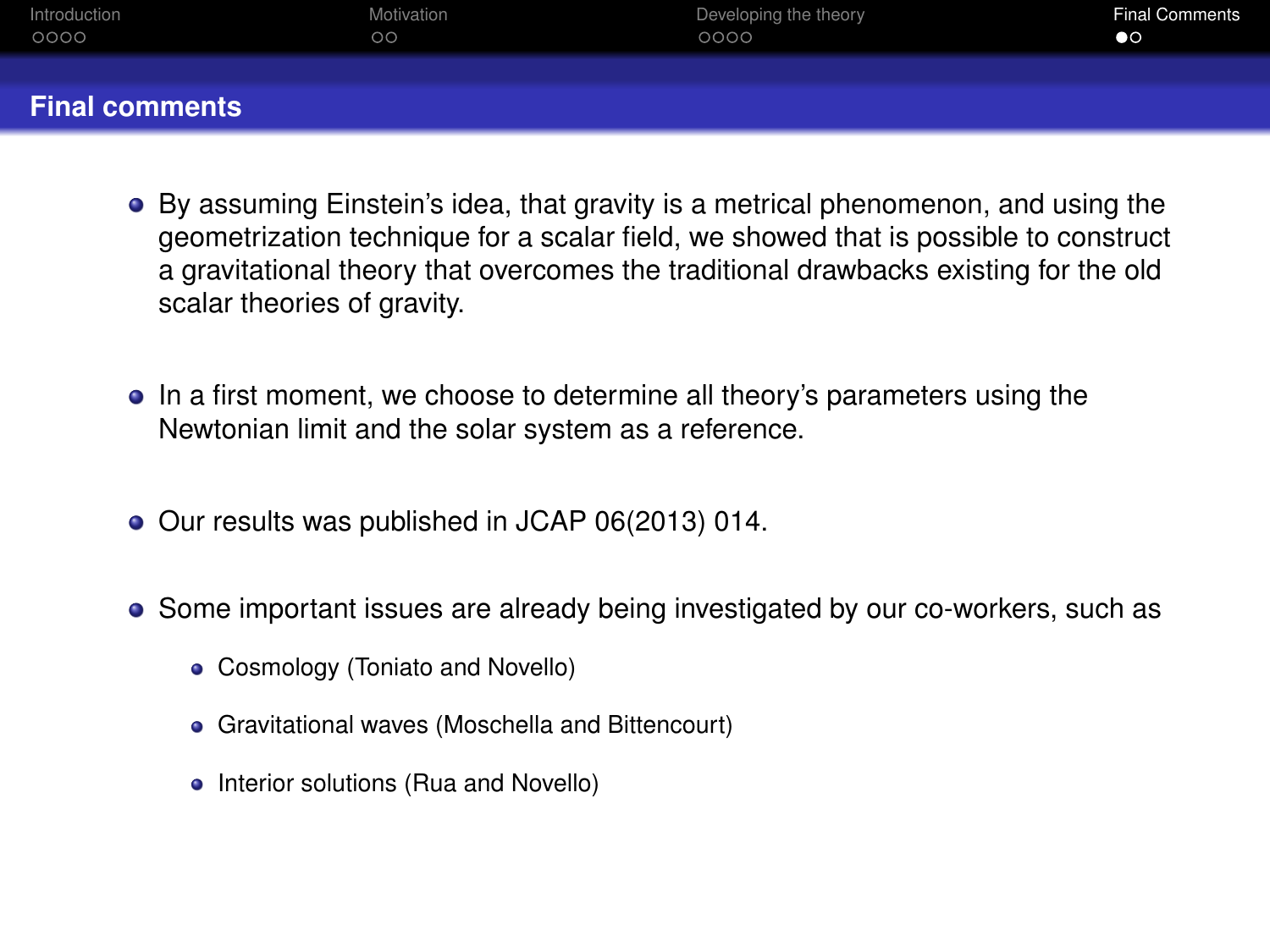<span id="page-46-0"></span>

| Introduction          | Motivation | Developing the theory | <b>Final Comments</b> |
|-----------------------|------------|-----------------------|-----------------------|
| 0000                  | $\circ$    | 0000                  | $\bullet$             |
| <b>Final comments</b> |            |                       |                       |

- By assuming Einstein's idea, that gravity is a metrical phenomenon, and using the geometrization technique for a scalar field, we showed that is possible to construct a gravitational theory that overcomes the traditional drawbacks existing for the old scalar theories of gravity.
- In a first moment, we choose to determine all theory's parameters using the Newtonian limit and the solar system as a reference.
- Our results was published in JCAP 06(2013) 014.
- Some important issues are already being investigated by our co-workers, such as
	- Cosmology (Toniato and Novello)
	- Gravitational waves (Moschella and Bittencourt)
	- Interior solutions (Rua and Novello)